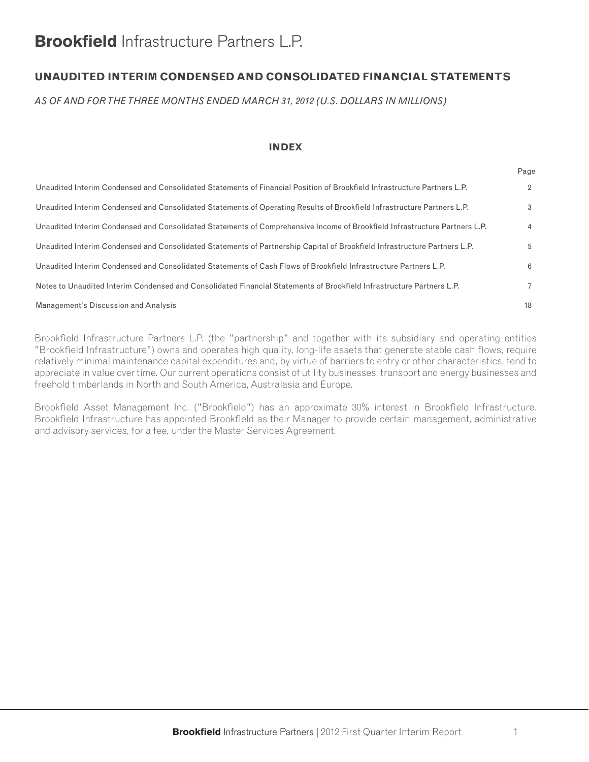# **Brookfield** Infrastructure Partners L.P.

# **UNAUDITED INTERIM CONDENSED AND CONSOLIDATED FINANCIAL STATEMENTS**

*AS OF AND FOR THE THREE MONTHS ENDED MARCH 31, 2012 (U.S. DOLLARS IN MILLIONS)*

#### **INDEX**

|                                                                                                                            | ı ay∈          |
|----------------------------------------------------------------------------------------------------------------------------|----------------|
| Unaudited Interim Condensed and Consolidated Statements of Financial Position of Brookfield Infrastructure Partners L.P.   | $\overline{2}$ |
| Unaudited Interim Condensed and Consolidated Statements of Operating Results of Brookfield Infrastructure Partners L.P.    | 3              |
| Unaudited Interim Condensed and Consolidated Statements of Comprehensive Income of Brookfield Infrastructure Partners L.P. | $\overline{4}$ |
| Unaudited Interim Condensed and Consolidated Statements of Partnership Capital of Brookfield Infrastructure Partners L.P.  | 5              |
| Unaudited Interim Condensed and Consolidated Statements of Cash Flows of Brookfield Infrastructure Partners L.P.           | 6              |
| Notes to Unaudited Interim Condensed and Consolidated Financial Statements of Brookfield Infrastructure Partners L.P.      | $\overline{7}$ |
| Management's Discussion and Analysis                                                                                       | 18             |

Brookfield Infrastructure Partners L.P. (the "partnership" and together with its subsidiary and operating entities "Brookfield Infrastructure") owns and operates high quality, long-life assets that generate stable cash flows, require relatively minimal maintenance capital expenditures and, by virtue of barriers to entry or other characteristics, tend to appreciate in value over time. Our current operations consist of utility businesses, transport and energy businesses and freehold timberlands in North and South America, Australasia and Europe.

Brookfield Asset Management Inc. ("Brookfield") has an approximate 30% interest in Brookfield Infrastructure. Brookfield Infrastructure has appointed Brookfield as their Manager to provide certain management, administrative and advisory services, for a fee, under the Master Services Agreement.

Page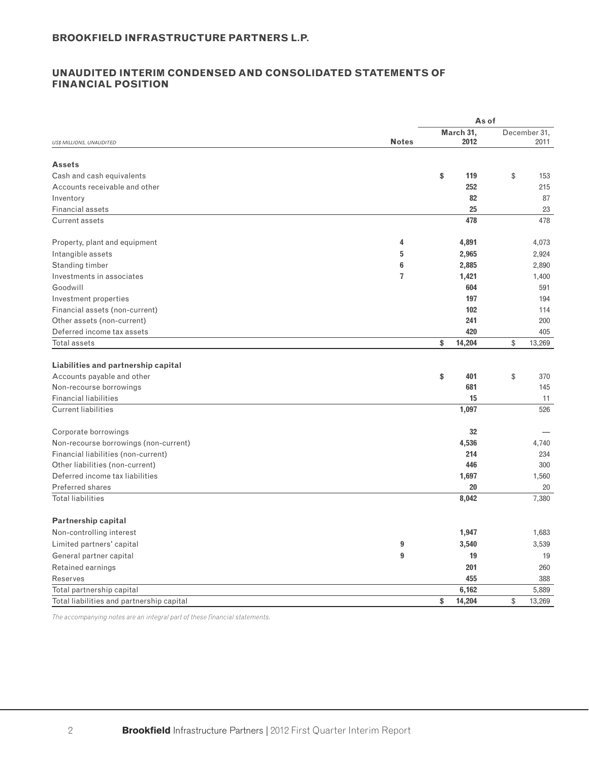## **UNAUDITED INTERIM CONDENSED AND CONSOLIDATED STATEMENTS OF FINANCIAL POSITION**

|                                           |              | As of        |              |
|-------------------------------------------|--------------|--------------|--------------|
|                                           |              | March 31,    | December 31, |
| US\$ MILLIONS, UNAUDITED                  | <b>Notes</b> | 2012         | 2011         |
| <b>Assets</b>                             |              |              |              |
| Cash and cash equivalents                 |              | \$<br>119    | \$<br>153    |
| Accounts receivable and other             |              | 252          | 215          |
| Inventory                                 |              | 82           | 87           |
| <b>Financial assets</b>                   |              | 25           | 23           |
| <b>Current assets</b>                     |              | 478          | 478          |
|                                           |              |              |              |
| Property, plant and equipment             | 4            | 4,891        | 4,073        |
| Intangible assets                         | 5            | 2,965        | 2,924        |
| Standing timber                           | 6            | 2,885        | 2,890        |
| Investments in associates                 | 7            | 1,421        | 1,400        |
| Goodwill                                  |              | 604          | 591          |
| Investment properties                     |              | 197          | 194          |
| Financial assets (non-current)            |              | 102          | 114          |
| Other assets (non-current)                |              | 241          | 200          |
| Deferred income tax assets                |              | 420          | 405          |
| Total assets                              |              | \$<br>14,204 | \$<br>13,269 |
|                                           |              |              |              |
| Liabilities and partnership capital       |              |              |              |
| Accounts payable and other                |              | \$<br>401    | \$<br>370    |
| Non-recourse borrowings                   |              | 681          | 145          |
| <b>Financial liabilities</b>              |              | 15           | 11           |
| <b>Current liabilities</b>                |              | 1,097        | 526          |
|                                           |              |              |              |
| Corporate borrowings                      |              | 32           |              |
| Non-recourse borrowings (non-current)     |              | 4,536        | 4,740        |
| Financial liabilities (non-current)       |              | 214          | 234          |
| Other liabilities (non-current)           |              | 446          | 300          |
| Deferred income tax liabilities           |              | 1,697        | 1,560        |
| <b>Preferred shares</b>                   |              | 20           | 20           |
| <b>Total liabilities</b>                  |              | 8,042        | 7,380        |
| <b>Partnership capital</b>                |              |              |              |
| Non-controlling interest                  |              | 1,947        | 1,683        |
| Limited partners' capital                 | 9            | 3,540        | 3,539        |
| General partner capital                   | 9            | 19           | 19           |
| Retained earnings                         |              | 201          | 260          |
| <b>Reserves</b>                           |              | 455          | 388          |
| Total partnership capital                 |              | 6,162        | 5,889        |
| Total liabilities and partnership capital |              | \$<br>14,204 | \$<br>13,269 |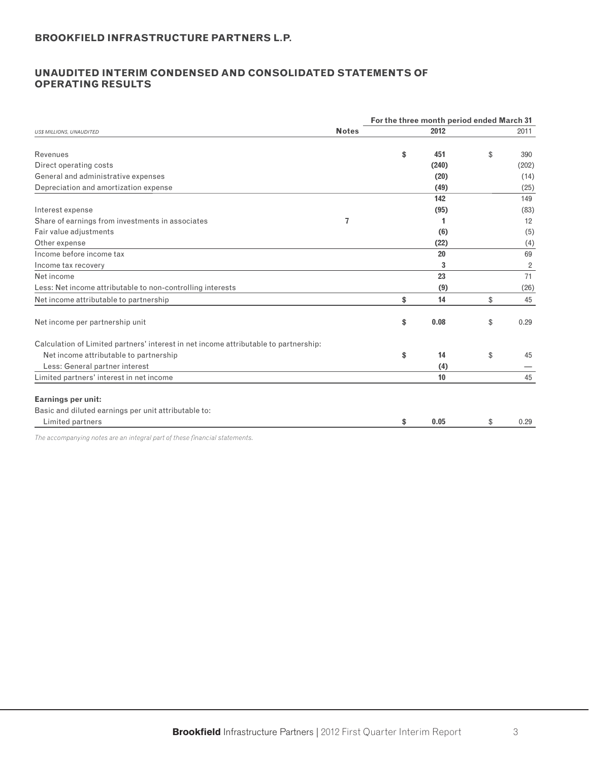## **UNAUDITED INTERIM CONDENSED AND CONSOLIDATED STATEMENTS OF OPERATING RESULTS**

|                                                                                                                                                                                                                                 |              | For the three month period ended March 31 |                |
|---------------------------------------------------------------------------------------------------------------------------------------------------------------------------------------------------------------------------------|--------------|-------------------------------------------|----------------|
| <b>US\$ MILLIONS, UNAUDITED</b>                                                                                                                                                                                                 | <b>Notes</b> | 2012                                      | 2011           |
| Revenues                                                                                                                                                                                                                        |              | \$<br>451                                 | \$<br>390      |
| Direct operating costs                                                                                                                                                                                                          |              | (240)                                     | (202)          |
| General and administrative expenses                                                                                                                                                                                             |              | (20)                                      | (14)           |
| Depreciation and amortization expense                                                                                                                                                                                           |              | (49)                                      | (25)           |
|                                                                                                                                                                                                                                 |              | 142                                       | 149            |
| Interest expense                                                                                                                                                                                                                |              | (95)                                      | (83)           |
| Share of earnings from investments in associates                                                                                                                                                                                | 7            | 1                                         | 12             |
| Fair value adjustments                                                                                                                                                                                                          |              | (6)                                       | (5)            |
| Other expense                                                                                                                                                                                                                   |              | (22)                                      | (4)            |
| Income before income tax                                                                                                                                                                                                        |              | 20                                        | 69             |
| Income tax recovery                                                                                                                                                                                                             |              | 3                                         | $\overline{2}$ |
| Net income                                                                                                                                                                                                                      |              | 23                                        | 71             |
| Less: Net income attributable to non-controlling interests                                                                                                                                                                      |              | (9)                                       | (26)           |
| Net income attributable to partnership                                                                                                                                                                                          |              | \$<br>14                                  | \$<br>45       |
| Net income per partnership unit                                                                                                                                                                                                 |              | \$<br>0.08                                | \$<br>0.29     |
| Calculation of Limited partners' interest in net income attributable to partnership:                                                                                                                                            |              |                                           |                |
| Net income attributable to partnership                                                                                                                                                                                          |              | \$<br>14                                  | \$<br>45       |
| Less: General partner interest                                                                                                                                                                                                  |              | (4)                                       |                |
| Limited partners' interest in net income                                                                                                                                                                                        |              | 10                                        | 45             |
| <b>Earnings per unit:</b>                                                                                                                                                                                                       |              |                                           |                |
| Basic and diluted earnings per unit attributable to:                                                                                                                                                                            |              |                                           |                |
| Limited partners                                                                                                                                                                                                                |              | \$<br>0.05                                | \$<br>0.29     |
| $\tau$ . The set of the set of the set of the set of the set of the set of the set of the set of the set of the set of the set of the set of the set of the set of the set of the set of the set of the set of the set of the s |              |                                           |                |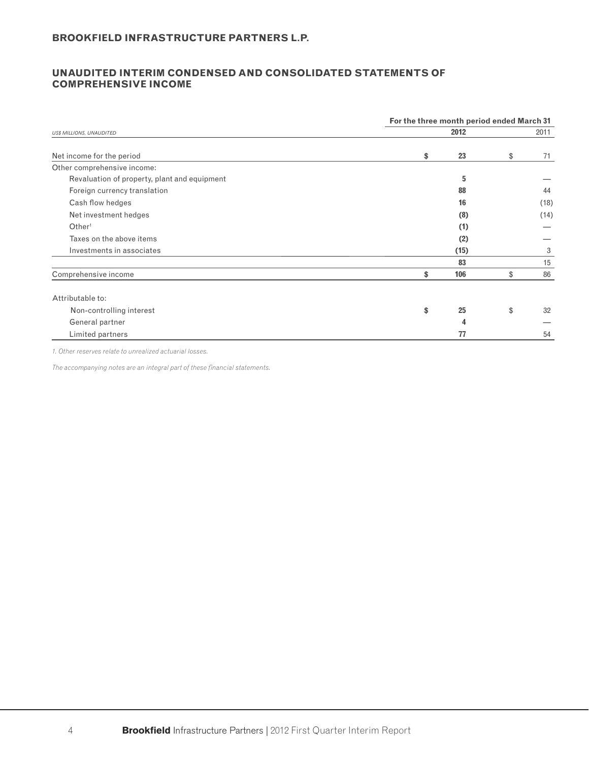## **UNAUDITED INTERIM CONDENSED AND CONSOLIDATED STATEMENTS OF COMPREHENSIVE INCOME**

|                                              | For the three month period ended March 31 |      |    |      |  |  |  |  |  |  |
|----------------------------------------------|-------------------------------------------|------|----|------|--|--|--|--|--|--|
| <b>US\$ MILLIONS, UNAUDITED</b>              |                                           | 2012 |    | 2011 |  |  |  |  |  |  |
| Net income for the period                    | \$                                        | 23   | \$ | 71   |  |  |  |  |  |  |
| Other comprehensive income:                  |                                           |      |    |      |  |  |  |  |  |  |
| Revaluation of property, plant and equipment |                                           | 5    |    |      |  |  |  |  |  |  |
| Foreign currency translation                 |                                           | 88   |    | 44   |  |  |  |  |  |  |
| Cash flow hedges                             |                                           | 16   |    | (18) |  |  |  |  |  |  |
| Net investment hedges                        |                                           | (8)  |    | (14) |  |  |  |  |  |  |
| Other <sup>1</sup>                           |                                           | (1)  |    |      |  |  |  |  |  |  |
| Taxes on the above items                     |                                           | (2)  |    |      |  |  |  |  |  |  |
| Investments in associates                    |                                           | (15) |    | 3    |  |  |  |  |  |  |
|                                              |                                           | 83   |    | 15   |  |  |  |  |  |  |
| Comprehensive income                         | \$                                        | 106  | \$ | 86   |  |  |  |  |  |  |
| Attributable to:                             |                                           |      |    |      |  |  |  |  |  |  |
| Non-controlling interest                     | \$                                        | 25   | \$ | 32   |  |  |  |  |  |  |
| General partner                              |                                           | Δ    |    |      |  |  |  |  |  |  |
| Limited partners                             |                                           | 77   |    | 54   |  |  |  |  |  |  |

*1. Other reserves relate to unrealized actuarial losses.*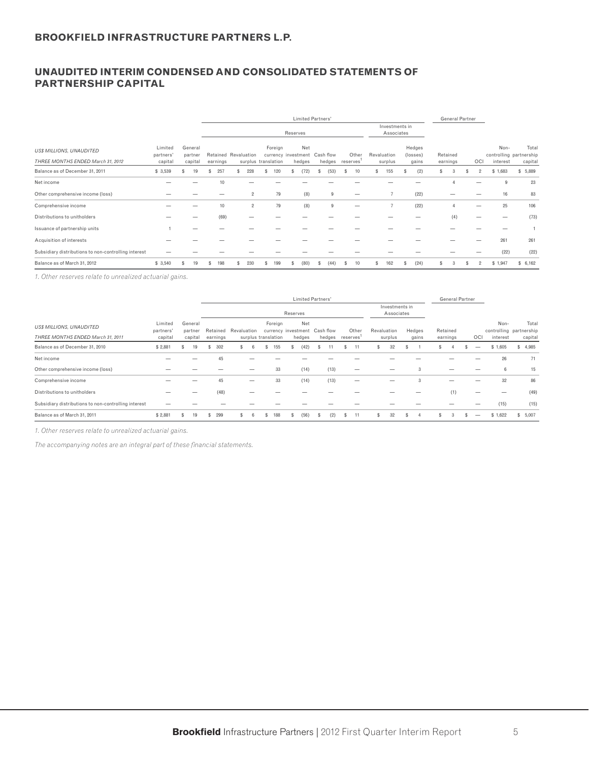# **UNAUDITED INTERIM CONDENSED AND CONSOLIDATED STATEMENTS OF PARTNERSHIP CAPITAL**

|                                                                      |                                 |                               |            |                                             |           | <b>Limited Partners'</b>             |                     |    |                   |                              |                             | <b>General Partner</b> |   |                |                  |                                             |
|----------------------------------------------------------------------|---------------------------------|-------------------------------|------------|---------------------------------------------|-----------|--------------------------------------|---------------------|----|-------------------|------------------------------|-----------------------------|------------------------|---|----------------|------------------|---------------------------------------------|
|                                                                      |                                 |                               |            |                                             |           | Reserves                             |                     |    |                   | Investments in<br>Associates |                             |                        |   |                |                  |                                             |
| <b>US\$ MILLIONS, UNAUDITED</b><br>THREE MONTHS ENDED March 31, 2012 | Limited<br>partners'<br>capital | General<br>partner<br>capital | earnings   | Retained Revaluation<br>surplus translation | Foreign   | Net<br>currency investment<br>hedges | Cash flow<br>hedges |    | Other<br>reserves | Revaluation<br>surplus       | Hedges<br>(losses)<br>gains | Retained<br>earnings   |   | OCI            | Non-<br>interest | Total<br>controlling partnership<br>capital |
| Balance as of December 31, 2011                                      | \$3,539                         | 19                            | 257<br>\$. | 228                                         | \$<br>120 | (72)                                 | (53)                | £. | 10                | 155<br>s.                    | \$<br>(2)                   | 3                      | S | $\mathcal{P}$  | \$1,683          | \$5,889                                     |
| Net income                                                           |                                 |                               | 10         |                                             |           |                                      |                     |    |                   |                              |                             |                        |   |                | 9                | 23                                          |
| Other comprehensive income (loss)                                    |                                 |                               |            | $\overline{2}$                              | 79        | (8)                                  | 9                   |    |                   |                              | (22)                        |                        |   |                | 16               | 83                                          |
| Comprehensive income                                                 |                                 |                               | 10         | $\overline{2}$                              | 79        | (8)                                  | 9                   |    |                   |                              | (22)                        |                        |   |                | 25               | 106                                         |
| Distributions to unitholders                                         |                                 |                               | (69)       |                                             |           |                                      |                     |    |                   |                              |                             | (4)                    |   | _              |                  | (73)                                        |
| Issuance of partnership units                                        |                                 |                               |            |                                             |           |                                      |                     |    |                   |                              |                             |                        |   |                |                  |                                             |
| Acquisition of interests                                             |                                 |                               |            |                                             |           |                                      |                     |    |                   |                              |                             |                        |   |                | 261              | 261                                         |
| Subsidiary distributions to non-controlling interest                 |                                 |                               |            |                                             |           |                                      |                     |    |                   |                              |                             |                        |   |                | (22)             | (22)                                        |
| Balance as of March 31, 2012                                         | \$3,540                         | 19                            | 198        | 230                                         | 199       | (80)                                 | 44.                 | S  | 10                | 162                          | (24)                        | З                      |   | $\overline{2}$ | \$1,947          | \$6,162                                     |

*1. Other reserves relate to unrealized actuarial gains.*

|                                                      |                      |                    | <b>Limited Partners'</b> |             |                     |                                      |      |                 |                              | <b>General Partner</b> |          |     |          |                                  |
|------------------------------------------------------|----------------------|--------------------|--------------------------|-------------|---------------------|--------------------------------------|------|-----------------|------------------------------|------------------------|----------|-----|----------|----------------------------------|
|                                                      |                      |                    |                          |             |                     | Reserves                             |      |                 | Investments in<br>Associates |                        |          |     |          |                                  |
| <b>US\$ MILLIONS, UNAUDITED</b>                      | Limited<br>partners' | General<br>partner | Retained                 | Revaluation | Foreign             | Net<br>currency investment Cash flow |      | Other           | Revaluation                  | Hedges                 | Retained |     | Non-     | Total<br>controlling partnership |
| THREE MONTHS ENDED March 31, 2011                    | capital              | capital            | earnings                 |             | surplus translation | hedges                               |      | hedges reserves | surplus                      | gains                  | earnings | OCI | interest | capital                          |
| Balance as of December 31, 2010                      | \$2,881              | 19<br>s            | 302<br>s                 |             | 155<br>\$           | (42)<br>S                            |      | 11              | 32<br>£.                     | S                      | S        | -   | \$1,605  | \$4,985                          |
| Net income                                           |                      |                    | 45                       |             |                     |                                      |      |                 |                              |                        |          |     | 26       | 71                               |
| Other comprehensive income (loss)                    |                      |                    |                          | –           | 33                  | (14)                                 | (13) |                 |                              | 3                      |          |     | 6        | 15                               |
| Comprehensive income                                 |                      |                    | 45                       |             | 33                  | (14)                                 | (13) |                 |                              | 3                      |          |     | 32       | 86                               |
| Distributions to unitholders                         |                      |                    | (48)                     |             |                     |                                      |      |                 |                              |                        | (1)      |     |          | (49)                             |
| Subsidiary distributions to non-controlling interest |                      |                    |                          |             |                     |                                      |      |                 |                              |                        |          |     | (15)     | (15)                             |
| Balance as of March 31, 2011                         | \$2,881              | 19                 | 299<br>S.                |             | 88                  | (56)                                 | (2)  | 11              | 32                           |                        | 3        |     | \$1,622  | \$5,007                          |

*1. Other reserves relate to unrealized actuarial gains.*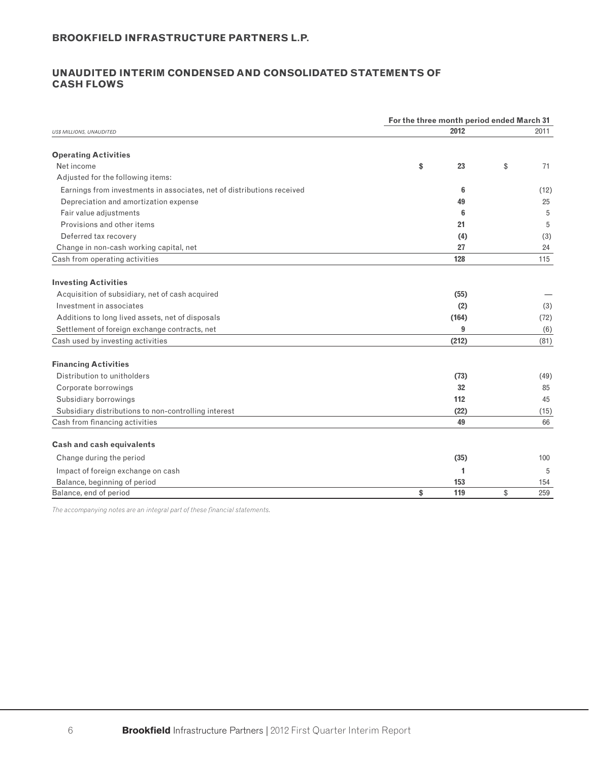## **UNAUDITED INTERIM CONDENSED AND CONSOLIDATED STATEMENTS OF CASH FLOWS**

| 2012<br>2011<br><b>Operating Activities</b><br>Net income<br>\$<br>23<br>\$<br>71<br>Adjusted for the following items:<br>Earnings from investments in associates, net of distributions received<br>6<br>(12)<br>Depreciation and amortization expense<br>49<br>25<br>Fair value adjustments<br>6<br>5<br>Provisions and other items<br>21<br>5<br>Deferred tax recovery<br>(4)<br>(3)<br>Change in non-cash working capital, net<br>27<br>24<br>128<br>115<br>Acquisition of subsidiary, net of cash acquired<br>(55)<br>Investment in associates<br>(2)<br>Additions to long lived assets, net of disposals<br>(164)<br>Settlement of foreign exchange contracts, net<br>9<br>(6)<br>(212)<br>Cash used by investing activities<br>(81)<br>Distribution to unitholders<br>(73)<br>32<br>Corporate borrowings<br>85<br>Subsidiary borrowings<br>112<br>45<br>Subsidiary distributions to non-controlling interest<br>(22)<br>49<br>Cash from financing activities<br>66<br><b>Cash and cash equivalents</b><br>Change during the period<br>(35)<br>100<br>Impact of foreign exchange on cash<br>1<br>5<br>Balance, beginning of period<br>153<br>154<br>Balance, end of period<br>\$<br>119<br>\$<br>259 |                                 | For the three month period ended March 31 |  |      |
|-----------------------------------------------------------------------------------------------------------------------------------------------------------------------------------------------------------------------------------------------------------------------------------------------------------------------------------------------------------------------------------------------------------------------------------------------------------------------------------------------------------------------------------------------------------------------------------------------------------------------------------------------------------------------------------------------------------------------------------------------------------------------------------------------------------------------------------------------------------------------------------------------------------------------------------------------------------------------------------------------------------------------------------------------------------------------------------------------------------------------------------------------------------------------------------------------------------|---------------------------------|-------------------------------------------|--|------|
|                                                                                                                                                                                                                                                                                                                                                                                                                                                                                                                                                                                                                                                                                                                                                                                                                                                                                                                                                                                                                                                                                                                                                                                                           | <b>US\$ MILLIONS, UNAUDITED</b> |                                           |  |      |
|                                                                                                                                                                                                                                                                                                                                                                                                                                                                                                                                                                                                                                                                                                                                                                                                                                                                                                                                                                                                                                                                                                                                                                                                           |                                 |                                           |  |      |
|                                                                                                                                                                                                                                                                                                                                                                                                                                                                                                                                                                                                                                                                                                                                                                                                                                                                                                                                                                                                                                                                                                                                                                                                           |                                 |                                           |  |      |
|                                                                                                                                                                                                                                                                                                                                                                                                                                                                                                                                                                                                                                                                                                                                                                                                                                                                                                                                                                                                                                                                                                                                                                                                           |                                 |                                           |  |      |
|                                                                                                                                                                                                                                                                                                                                                                                                                                                                                                                                                                                                                                                                                                                                                                                                                                                                                                                                                                                                                                                                                                                                                                                                           |                                 |                                           |  |      |
|                                                                                                                                                                                                                                                                                                                                                                                                                                                                                                                                                                                                                                                                                                                                                                                                                                                                                                                                                                                                                                                                                                                                                                                                           |                                 |                                           |  |      |
|                                                                                                                                                                                                                                                                                                                                                                                                                                                                                                                                                                                                                                                                                                                                                                                                                                                                                                                                                                                                                                                                                                                                                                                                           |                                 |                                           |  |      |
|                                                                                                                                                                                                                                                                                                                                                                                                                                                                                                                                                                                                                                                                                                                                                                                                                                                                                                                                                                                                                                                                                                                                                                                                           |                                 |                                           |  |      |
|                                                                                                                                                                                                                                                                                                                                                                                                                                                                                                                                                                                                                                                                                                                                                                                                                                                                                                                                                                                                                                                                                                                                                                                                           |                                 |                                           |  |      |
|                                                                                                                                                                                                                                                                                                                                                                                                                                                                                                                                                                                                                                                                                                                                                                                                                                                                                                                                                                                                                                                                                                                                                                                                           |                                 |                                           |  |      |
|                                                                                                                                                                                                                                                                                                                                                                                                                                                                                                                                                                                                                                                                                                                                                                                                                                                                                                                                                                                                                                                                                                                                                                                                           | Cash from operating activities  |                                           |  |      |
|                                                                                                                                                                                                                                                                                                                                                                                                                                                                                                                                                                                                                                                                                                                                                                                                                                                                                                                                                                                                                                                                                                                                                                                                           |                                 |                                           |  |      |
|                                                                                                                                                                                                                                                                                                                                                                                                                                                                                                                                                                                                                                                                                                                                                                                                                                                                                                                                                                                                                                                                                                                                                                                                           | <b>Investing Activities</b>     |                                           |  |      |
|                                                                                                                                                                                                                                                                                                                                                                                                                                                                                                                                                                                                                                                                                                                                                                                                                                                                                                                                                                                                                                                                                                                                                                                                           |                                 |                                           |  |      |
|                                                                                                                                                                                                                                                                                                                                                                                                                                                                                                                                                                                                                                                                                                                                                                                                                                                                                                                                                                                                                                                                                                                                                                                                           |                                 |                                           |  | (3)  |
|                                                                                                                                                                                                                                                                                                                                                                                                                                                                                                                                                                                                                                                                                                                                                                                                                                                                                                                                                                                                                                                                                                                                                                                                           |                                 |                                           |  | (72) |
|                                                                                                                                                                                                                                                                                                                                                                                                                                                                                                                                                                                                                                                                                                                                                                                                                                                                                                                                                                                                                                                                                                                                                                                                           |                                 |                                           |  |      |
|                                                                                                                                                                                                                                                                                                                                                                                                                                                                                                                                                                                                                                                                                                                                                                                                                                                                                                                                                                                                                                                                                                                                                                                                           |                                 |                                           |  |      |
|                                                                                                                                                                                                                                                                                                                                                                                                                                                                                                                                                                                                                                                                                                                                                                                                                                                                                                                                                                                                                                                                                                                                                                                                           | <b>Financing Activities</b>     |                                           |  |      |
|                                                                                                                                                                                                                                                                                                                                                                                                                                                                                                                                                                                                                                                                                                                                                                                                                                                                                                                                                                                                                                                                                                                                                                                                           |                                 |                                           |  | (49) |
|                                                                                                                                                                                                                                                                                                                                                                                                                                                                                                                                                                                                                                                                                                                                                                                                                                                                                                                                                                                                                                                                                                                                                                                                           |                                 |                                           |  |      |
|                                                                                                                                                                                                                                                                                                                                                                                                                                                                                                                                                                                                                                                                                                                                                                                                                                                                                                                                                                                                                                                                                                                                                                                                           |                                 |                                           |  |      |
|                                                                                                                                                                                                                                                                                                                                                                                                                                                                                                                                                                                                                                                                                                                                                                                                                                                                                                                                                                                                                                                                                                                                                                                                           |                                 |                                           |  | (15) |
|                                                                                                                                                                                                                                                                                                                                                                                                                                                                                                                                                                                                                                                                                                                                                                                                                                                                                                                                                                                                                                                                                                                                                                                                           |                                 |                                           |  |      |
|                                                                                                                                                                                                                                                                                                                                                                                                                                                                                                                                                                                                                                                                                                                                                                                                                                                                                                                                                                                                                                                                                                                                                                                                           |                                 |                                           |  |      |
|                                                                                                                                                                                                                                                                                                                                                                                                                                                                                                                                                                                                                                                                                                                                                                                                                                                                                                                                                                                                                                                                                                                                                                                                           |                                 |                                           |  |      |
|                                                                                                                                                                                                                                                                                                                                                                                                                                                                                                                                                                                                                                                                                                                                                                                                                                                                                                                                                                                                                                                                                                                                                                                                           |                                 |                                           |  |      |
|                                                                                                                                                                                                                                                                                                                                                                                                                                                                                                                                                                                                                                                                                                                                                                                                                                                                                                                                                                                                                                                                                                                                                                                                           |                                 |                                           |  |      |
|                                                                                                                                                                                                                                                                                                                                                                                                                                                                                                                                                                                                                                                                                                                                                                                                                                                                                                                                                                                                                                                                                                                                                                                                           |                                 |                                           |  |      |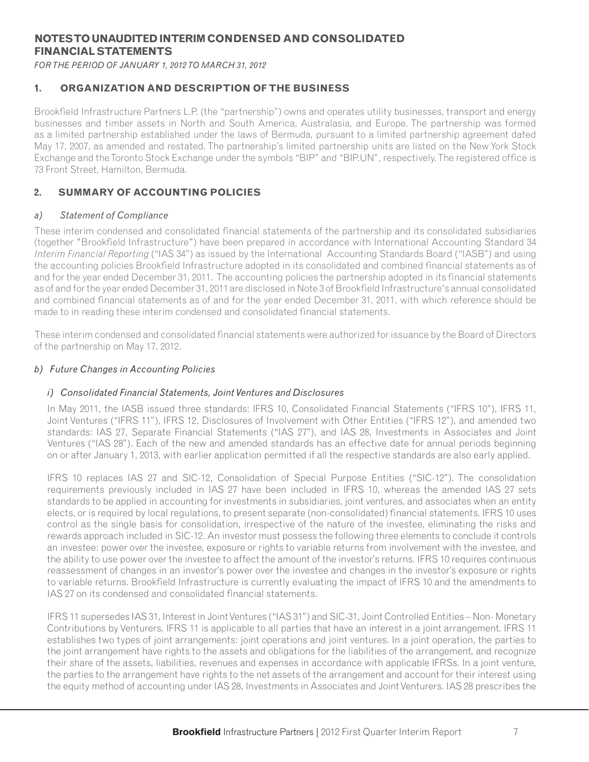# **NOTES TO UNAUDITED INTERIM CONDENSED AND CONSOLIDATED FINANCIAL STATEMENTS**

*FOR THE PERIOD OF JANUARY 1, 2012 TO MARCH 31, 2012*

# **1. ORGANIZATION AND DESCRIPTION OF THE BUSINESS**

Brookfield Infrastructure Partners L.P. (the "partnership") owns and operates utility businesses, transport and energy businesses and timber assets in North and South America, Australasia, and Europe. The partnership was formed as a limited partnership established under the laws of Bermuda, pursuant to a limited partnership agreement dated May 17, 2007, as amended and restated. The partnership's limited partnership units are listed on the New York Stock Exchange and the Toronto Stock Exchange under the symbols "BIP" and "BIP.UN", respectively. The registered office is 73 Front Street, Hamilton, Bermuda.

# **2. SUMMARY OF ACCOUNTING POLICIES**

## *a) Statement of Compliance*

These interim condensed and consolidated financial statements of the partnership and its consolidated subsidiaries (together "Brookfield Infrastructure") have been prepared in accordance with International Accounting Standard 34 *Interim Financial Reporting* ("IAS 34") as issued by the International Accounting Standards Board ("IASB") and using the accounting policies Brookfield Infrastructure adopted in its consolidated and combined financial statements as of and for the year ended December 31, 2011. The accounting policies the partnership adopted in its financial statements as of and for the year ended December 31, 2011 are disclosed in Note 3 of Brookfield Infrastructure's annual consolidated and combined financial statements as of and for the year ended December 31, 2011, with which reference should be made to in reading these interim condensed and consolidated financial statements.

These interim condensed and consolidated financial statements were authorized for issuance by the Board of Directors of the partnership on May 17, 2012.

#### *b) Future Changes in Accounting Policies*

#### *i) Consolidated Financial Statements, Joint Ventures and Disclosures*

In May 2011, the IASB issued three standards: IFRS 10, Consolidated Financial Statements ("IFRS 10"), IFRS 11, Joint Ventures ("IFRS 11"), IFRS 12, Disclosures of Involvement with Other Entities ("IFRS 12"), and amended two standards: IAS 27, Separate Financial Statements ("IAS 27"), and IAS 28, Investments in Associates and Joint Ventures ("IAS 28"). Each of the new and amended standards has an effective date for annual periods beginning on or after January 1, 2013, with earlier application permitted if all the respective standards are also early applied.

IFRS 10 replaces IAS 27 and SIC-12, Consolidation of Special Purpose Entities ("SIC-12"). The consolidation requirements previously included in IAS 27 have been included in IFRS 10, whereas the amended IAS 27 sets standards to be applied in accounting for investments in subsidiaries, joint ventures, and associates when an entity elects, or is required by local requlations, to present separate (non-consolidated) financial statements. IFRS 10 uses control as the single basis for consolidation, irrespective of the nature of the investee, eliminating the risks and rewards approach included in SIC-12. An investor must possess the following three elements to conclude it controls an investee: power over the investee, exposure or rights to variable returns from involvement with the investee, and the ability to use power over the investee to affect the amount of the investor's returns. IFRS 10 requires continuous reassessment of changes in an investor's power over the investee and changes in the investor's exposure or rights to variable returns. Brookfield Infrastructure is currently evaluating the impact of IFRS 10 and the amendments to IAS 27 on its condensed and consolidated financial statements.

IFRS 11 supersedes IAS 31, Interest in Joint Ventures ("IAS 31") and SIC-31, Joint Controlled Entities – Non- Monetary Contributions by Venturers. IFRS 11 is applicable to all parties that have an interest in a joint arrangement. IFRS 11 establishes two types of joint arrangements: joint operations and joint ventures. In a joint operation, the parties to the joint arrangement have rights to the assets and obligations for the liabilities of the arrangement, and recognize their share of the assets, liabilities, revenues and expenses in accordance with applicable IFRSs. In a joint venture, the parties to the arrangement have rights to the net assets of the arrangement and account for their interest using the equity method of accounting under IAS 28, Investments in Associates and Joint Venturers. IAS 28 prescribes the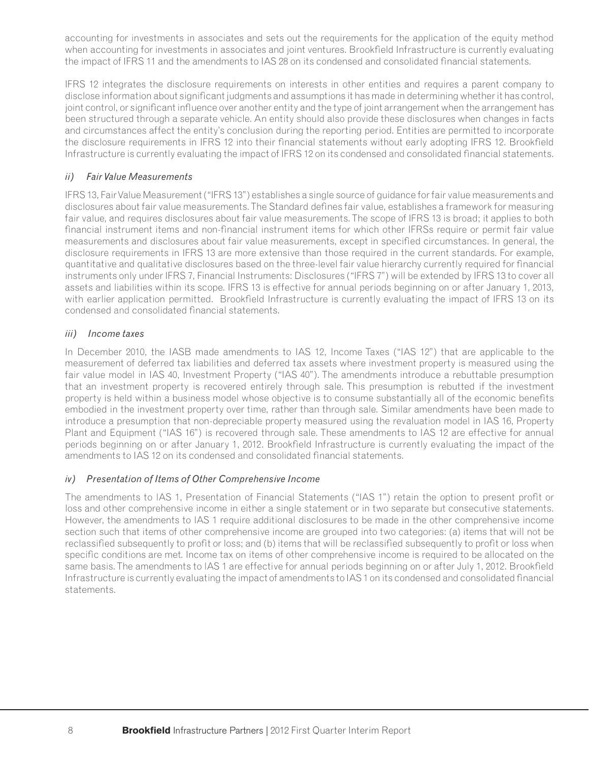accounting for investments in associates and sets out the requirements for the application of the equity method when accounting for investments in associates and joint ventures. Brookfield Infrastructure is currently evaluating the impact of IFRS 11 and the amendments to IAS 28 on its condensed and consolidated financial statements.

IFRS 12 integrates the disclosure requirements on interests in other entities and requires a parent company to disclose information about significant judgments and assumptions it has made in determining whether it has control, joint control, or significant influence over another entity and the type of joint arrangement when the arrangement has been structured through a separate vehicle. An entity should also provide these disclosures when changes in facts and circumstances affect the entity's conclusion during the reporting period. Entities are permitted to incorporate the disclosure requirements in IFRS 12 into their financial statements without early adopting IFRS 12. Brookfield Infrastructure is currently evaluating the impact of IFRS 12 on its condensed and consolidated financial statements.

# *ii) Fair Value Measurements*

IFRS 13, Fair Value Measurement ("IFRS 13") establishes a single source of guidance for fair value measurements and disclosures about fair value measurements. The Standard defines fair value, establishes a framework for measuring fair value, and requires disclosures about fair value measurements. The scope of IFRS 13 is broad; it applies to both financial instrument items and non-financial instrument items for which other IFRSs require or permit fair value measurements and disclosures about fair value measurements, except in specified circumstances. In general, the disclosure requirements in IFRS 13 are more extensive than those required in the current standards. For example, quantitative and qualitative disclosures based on the three-level fair value hierarchy currently required for financial instruments only under IFRS 7, Financial Instruments: Disclosures ("IFRS 7") will be extended by IFRS 13 to cover all assets and liabilities within its scope. IFRS 13 is effective for annual periods beginning on or after January 1, 2013, with earlier application permitted. Brookfield Infrastructure is currently evaluating the impact of IFRS 13 on its condensed and consolidated financial statements.

# *iii) Income taxes*

In December 2010, the IASB made amendments to IAS 12, Income Taxes ("IAS 12") that are applicable to the measurement of deferred tax liabilities and deferred tax assets where investment property is measured using the fair value model in IAS 40, Investment Property ("IAS 40"). The amendments introduce a rebuttable presumption that an investment property is recovered entirely through sale. This presumption is rebutted if the investment property is held within a business model whose objective is to consume substantially all of the economic benefits embodied in the investment property over time, rather than through sale. Similar amendments have been made to introduce a presumption that non-depreciable property measured using the revaluation model in IAS 16, Property Plant and Equipment ("IAS 16") is recovered through sale. These amendments to IAS 12 are effective for annual periods beginning on or after January 1, 2012. Brookfield Infrastructure is currently evaluating the impact of the amendments to IAS 12 on its condensed and consolidated financial statements.

# *iv) Presentation of Items of Other Comprehensive Income*

The amendments to IAS 1, Presentation of Financial Statements ("IAS 1") retain the option to present profit or loss and other comprehensive income in either a single statement or in two separate but consecutive statements. However, the amendments to lAS 1 require additional disclosures to be made in the other comprehensive income section such that items of other comprehensive income are grouped into two categories: (a) items that will not be reclassified subsequently to profit or loss; and (b) items that will be reclassified subsequently to profit or loss when specific conditions are met. Income tax on items of other comprehensive income is required to be allocated on the same basis. The amendments to IAS 1 are effective for annual periods beginning on or after July 1, 2012. Brookfield Infrastructure is currently evaluating the impact of amendments to IAS 1 on its condensed and consolidated financial statements.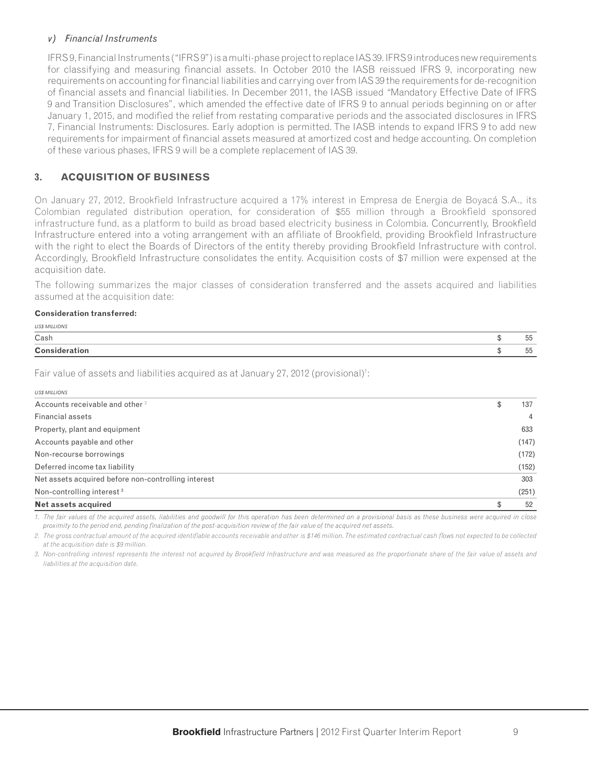#### *v) Financial Instruments*

IFRS 9, Financial Instruments ("IFRS 9") is a multi-phase project to replace IAS 39. IFRS 9 introduces new requirements for classifying and measuring financial assets. In October 2010 the IASB reissued IFRS 9, incorporating new requirements on accounting for financial liabilities and carrying over from IAS 39 the requirements for de-recognition of financial assets and financial liabilities. In December 2011, the IASB issued "Mandatory Effective Date of IFRS 9 and Transition Disclosures", which amended the effective date of IFRS 9 to annual periods beginning on or after January 1, 2015, and modified the relief from restating comparative periods and the associated disclosures in IFRS 7, Financial Instruments: Disclosures. Early adoption is permitted. The IASB intends to expand IFRS 9 to add new requirements for impairment of financial assets measured at amortized cost and hedge accounting. On completion of these various phases, IFRS 9 will be a complete replacement of IAS 39.

# **3. ACQUISITION OF BUSINESS**

On January 27, 2012, Brookfield Infrastructure acquired a 17% interest in Empresa de Energia de Boyacá S.A., its Colombian regulated distribution operation, for consideration of \$55 million through a Brookfield sponsored infrastructure fund, as a platform to build as broad based electricity business in Colombia. Concurrently, Brookfield Infrastructure entered into a voting arrangement with an affiliate of Brookfield, providing Brookfield Infrastructure with the right to elect the Boards of Directors of the entity thereby providing Brookfield Infrastructure with control. Accordingly, Brookfield Infrastructure consolidates the entity. Acquisition costs of \$7 million were expensed at the acquisition date.

The following summarizes the major classes of consideration transferred and the assets acquired and liabilities assumed at the acquisition date:

#### **Consideration transferred:**

*US\$ MILLIONS*

| UJI MILLIUNI         |                    |
|----------------------|--------------------|
| Cash                 | $- -$<br>hh<br>ັບປ |
| <b>Consideration</b> | $- -$<br>hh<br>ັບປ |

Fair value of assets and liabilities acquired as at January 27, 2012 (provisional)<sup>1</sup>:

| <b>US\$ MILLIONS</b>                                |           |
|-----------------------------------------------------|-----------|
| Accounts receivable and other <sup>2</sup>          | \$<br>137 |
| Financial assets                                    | 4         |
| Property, plant and equipment                       | 633       |
| Accounts payable and other                          | (147)     |
| Non-recourse borrowings                             | (172)     |
| Deferred income tax liability                       | (152)     |
| Net assets acquired before non-controlling interest | 303       |
| Non-controlling interest <sup>3</sup>               | (251)     |
| <b>Net assets acquired</b>                          | 52        |

*1. The fair values of the acquired assets, liabilities and goodwill for this operation has been determined on a provisional basis as these business were acquired in close*  proximity to the period end, pending finalization of the post-acquisition review of the fair value of the acquired net assets.

2. The gross contractual amount of the acquired identifiable accounts receivable and other is \$146 million. The estimated contractual cash flows not expected to be collected *at the acquisition date is \$9 million.*

3. Non-controlling interest represents the interest not acquired by Brookfield Infrastructure and was measured as the proportionate share of the fair value of assets and *liabilities at the acquisition date.*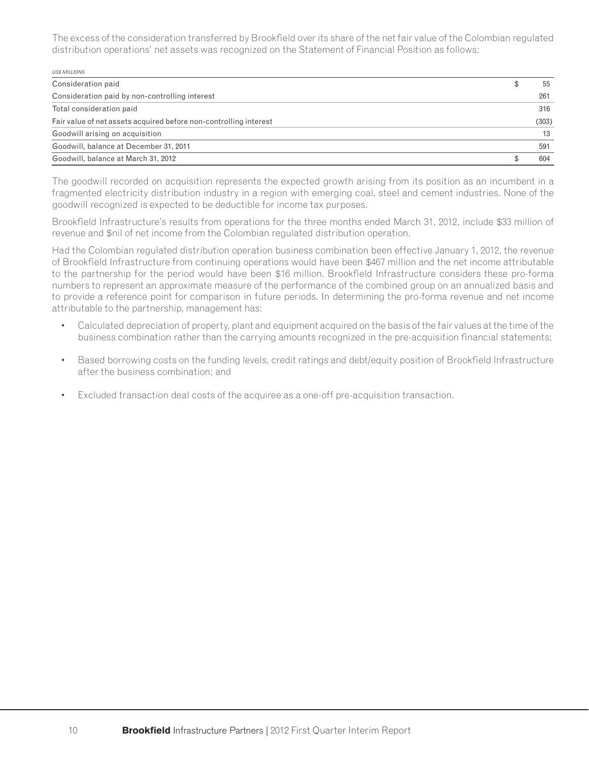The excess of the consideration transferred by Brookfield over its share of the net fair value of the Colombian regulated distribution operations' net assets was recognized on the Statement of Financial Position as follows:

| <b>USS MILLIONS</b>                                               |       |
|-------------------------------------------------------------------|-------|
| Consideration paid                                                | 55    |
| Consideration paid by non-controlling interest                    | 261   |
| Total consideration paid                                          | 316   |
| Fair value of net assets acquired before non-controlling interest | (303) |
| Goodwill arising on acquisition                                   | 13    |
| Goodwill, balance at December 31, 2011                            | 591   |
| Goodwill, balance at March 31, 2012                               | 604   |

The goodwill recorded on acquisition represents the expected growth arising from its position as an incumbent in a fragmented electricity distribution industry in a region with emerging coal, steel and cement industries. None of the goodwill recognized is expected to be deductible for income tax purposes.

Brookfield Infrastructure's results from operations for the three months ended March 31, 2012, include \$33 million of revenue and \$nil of net income from the Colombian regulated distribution operation.

Had the Colombian regulated distribution operation business combination been effective January 1, 2012, the revenue of Brookfield Infrastructure from continuing operations would have been \$467 million and the net income attributable to the partnership for the period would have been \$16 million. Brookfield Infrastructure considers these pro-forma numbers to represent an approximate measure of the performance of the combined group on an annualized basis and to provide a reference point for comparison in future periods. In determining the pro-forma revenue and net income attributable to the partnership, management has:

- Calculated depreciation of property, plant and equipment acquired on the basis of the fair values at the time of the business combination rather than the carrying amounts recognized in the pre-acquisition financial statements;
- Based borrowing costs on the funding levels, credit ratings and debt/equity position of Brookfield Infrastructure after the business combination; and
- Excluded transaction deal costs of the acquiree as a one-off pre-acquisition transaction.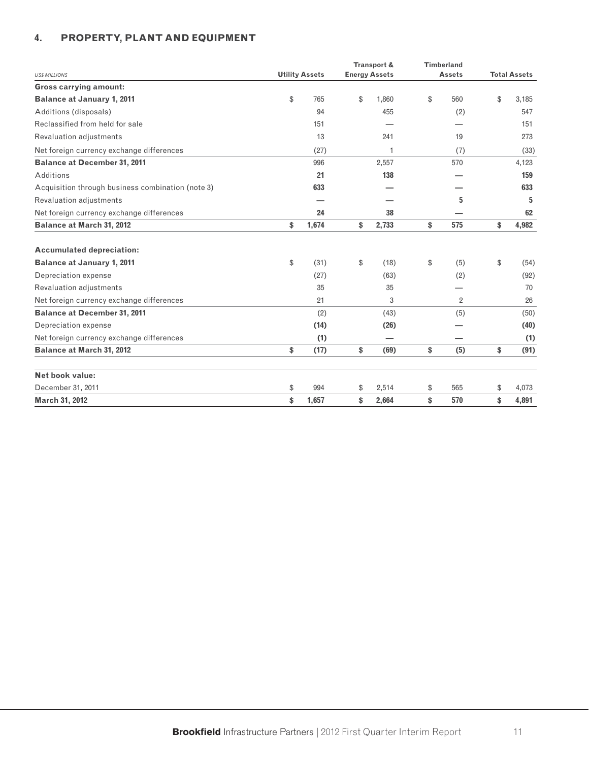# **4. PROPERTY, PLANT AND EQUIPMENT**

|                                                   |                       | Transport &          | <b>Timberland</b> |                     |
|---------------------------------------------------|-----------------------|----------------------|-------------------|---------------------|
| <b>US\$ MILLIONS</b>                              | <b>Utility Assets</b> | <b>Energy Assets</b> | <b>Assets</b>     | <b>Total Assets</b> |
| <b>Gross carrying amount:</b>                     |                       |                      |                   |                     |
| <b>Balance at January 1, 2011</b>                 | \$<br>765             | \$<br>1,860          | \$<br>560         | \$<br>3,185         |
| Additions (disposals)                             | 94                    | 455                  | (2)               | 547                 |
| Reclassified from held for sale                   | 151                   |                      |                   | 151                 |
| Revaluation adjustments                           | 13                    | 241                  | 19                | 273                 |
| Net foreign currency exchange differences         | (27)                  | $\mathbf{1}$         | (7)               | (33)                |
| <b>Balance at December 31, 2011</b>               | 996                   | 2,557                | 570               | 4,123               |
| Additions                                         | 21                    | 138                  |                   | 159                 |
| Acquisition through business combination (note 3) | 633                   |                      |                   | 633                 |
| <b>Revaluation adjustments</b>                    |                       |                      | 5                 | 5                   |
| Net foreign currency exchange differences         | 24                    | 38                   |                   | 62                  |
| <b>Balance at March 31, 2012</b>                  | \$<br>1,674           | \$<br>2,733          | \$<br>575         | \$<br>4,982         |
| <b>Accumulated depreciation:</b>                  |                       |                      |                   |                     |
| <b>Balance at January 1, 2011</b>                 | \$<br>(31)            | \$<br>(18)           | \$<br>(5)         | \$<br>(54)          |
| Depreciation expense                              | (27)                  | (63)                 | (2)               | (92)                |
| Revaluation adjustments                           | 35                    | 35                   |                   | 70                  |
| Net foreign currency exchange differences         | 21                    | 3                    | $\overline{2}$    | 26                  |
| <b>Balance at December 31, 2011</b>               | (2)                   | (43)                 | (5)               | (50)                |
| Depreciation expense                              | (14)                  | (26)                 |                   | (40)                |
| Net foreign currency exchange differences         | (1)                   |                      |                   | (1)                 |
| <b>Balance at March 31, 2012</b>                  | \$<br>(17)            | \$<br>(69)           | \$<br>(5)         | \$<br>(91)          |
| Net book value:                                   |                       |                      |                   |                     |
| December 31, 2011                                 | \$<br>994             | \$<br>2,514          | \$<br>565         | \$<br>4,073         |
| March 31, 2012                                    | \$<br>1,657           | \$<br>2,664          | \$<br>570         | \$<br>4,891         |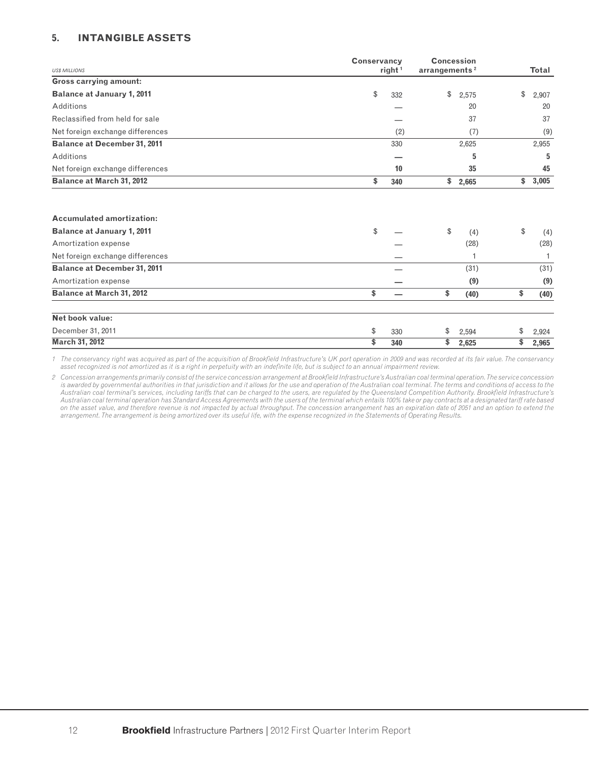#### **5. INTANGIBLE ASSETS**

| <b>US\$ MILLIONS</b>                | <b>Conservancy</b> | right <sup>1</sup> | <b>Concession</b><br>arrangements <sup>2</sup> |       | <b>Total</b> |
|-------------------------------------|--------------------|--------------------|------------------------------------------------|-------|--------------|
| <b>Gross carrying amount:</b>       |                    |                    |                                                |       |              |
| <b>Balance at January 1, 2011</b>   | \$                 | 332                | \$                                             | 2,575 | \$<br>2,907  |
| Additions                           |                    |                    |                                                | 20    | 20           |
| Reclassified from held for sale     |                    |                    |                                                | 37    | 37           |
| Net foreign exchange differences    |                    | (2)                |                                                | (7)   | (9)          |
| <b>Balance at December 31, 2011</b> |                    | 330                |                                                | 2,625 | 2,955        |
| Additions                           |                    |                    |                                                | 5     | 5            |
| Net foreign exchange differences    |                    | 10                 |                                                | 35    | 45           |
| <b>Balance at March 31, 2012</b>    | \$                 | 340                | \$                                             | 2,665 | \$<br>3,005  |
|                                     |                    |                    |                                                |       |              |
| <b>Accumulated amortization:</b>    |                    |                    |                                                |       |              |
| <b>Balance at January 1, 2011</b>   | \$                 |                    | \$                                             | (4)   | \$<br>(4)    |
| Amortization expense                |                    |                    |                                                | (28)  | (28)         |
| Net foreign exchange differences    |                    |                    |                                                |       |              |
| <b>Balance at December 31, 2011</b> |                    |                    |                                                | (31)  | (31)         |
| Amortization expense                |                    |                    |                                                | (9)   | (9)          |
| <b>Balance at March 31, 2012</b>    | \$                 | -                  | \$                                             | (40)  | \$<br>(40)   |
| Net book value:                     |                    |                    |                                                |       |              |
| December 31, 2011                   | \$                 | 330                | \$                                             | 2,594 | \$<br>2,924  |
| March 31, 2012                      | \$                 | 340                | \$                                             | 2,625 | \$<br>2,965  |

*1 The conservancy right was acquired as part of the acquisition of Brookfi eld Infrastructure's UK port operation in 2009 and was recorded at its fair value. The conservancy asset recognized is not amortized as it is a right in perpetuity with an indefi nite life, but is subject to an annual impairment review.*

*2 Concession arrangements primarily consist of the service concession arrangement at Brookfi eld Infrastructure's Australian coal terminal operation. The service concession*  is awarded by governmental authorities in that jurisdiction and it allows for the use and operation of the Australian coal terminal. The terms and conditions of access to the Australian coal terminal's services, including tariffs that can be charged to the users, are regulated by the Queensland Competition Authority. Brookfield Infrastructure's *Australian coal terminal operation has Standard Access Agreements with the users of the terminal which entails 100% take or pay contracts at a designated tariff rate based on the asset value, and therefore revenue is not impacted by actual throughput. The concession arrangement has an expiration date of 2051 and an option to extend the arrangement. The arrangement is being amortized over its useful life, with the expense recognized in the Statements of Operating Results.*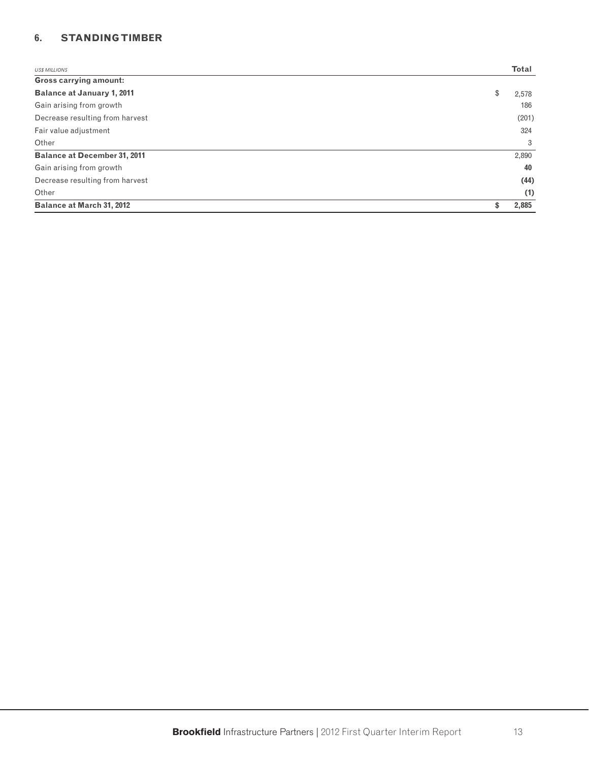# **6. STANDING TIMBER**

| <b>US\$ MILLIONS</b>                | <b>Total</b> |
|-------------------------------------|--------------|
| <b>Gross carrying amount:</b>       |              |
| <b>Balance at January 1, 2011</b>   | \$<br>2,578  |
| Gain arising from growth            | 186          |
| Decrease resulting from harvest     | (201)        |
| Fair value adjustment               | 324          |
| Other                               | 3            |
| <b>Balance at December 31, 2011</b> | 2,890        |
| Gain arising from growth            | 40           |
| Decrease resulting from harvest     | (44)         |
| Other                               | (1)          |
| <b>Balance at March 31, 2012</b>    | \$<br>2,885  |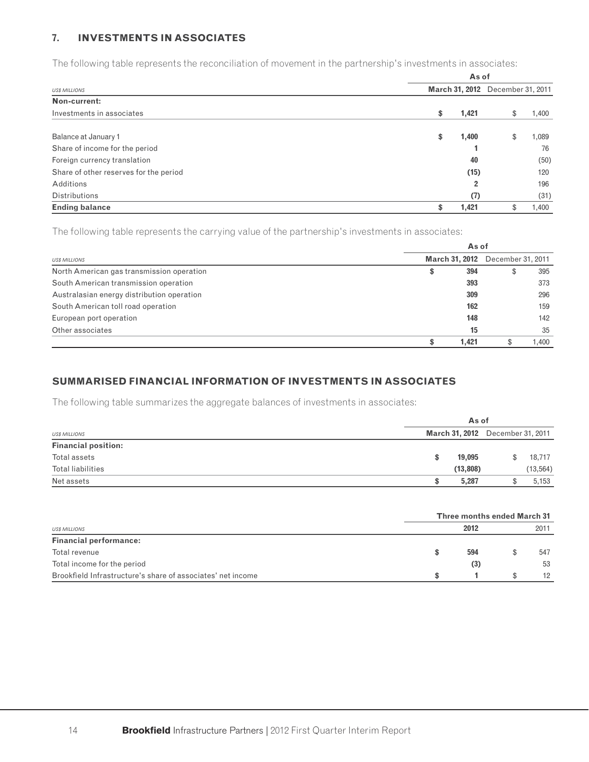#### **7. INVESTMENTS IN ASSOCIATES**

The following table represents the reconciliation of movement in the partnership's investments in associates:

|                                        |             | As of                            |
|----------------------------------------|-------------|----------------------------------|
| <b>US\$ MILLIONS</b>                   |             | March 31, 2012 December 31, 2011 |
| Non-current:                           |             |                                  |
| Investments in associates              | 1,421<br>\$ | 1,400<br>\$                      |
| Balance at January 1                   | \$<br>1,400 | 1,089<br>\$                      |
| Share of income for the period         |             | 76                               |
| Foreign currency translation           |             | 40<br>(50)                       |
| Share of other reserves for the period |             | (15)<br>120                      |
| Additions                              |             | 196<br>2                         |
| <b>Distributions</b>                   |             | (31)<br>(7)                      |
| <b>Ending balance</b>                  | \$<br>1,421 | 1,400                            |

The following table represents the carrying value of the partnership's investments in associates:

|                                            | As of          |       |                   |       |  |  |  |  |
|--------------------------------------------|----------------|-------|-------------------|-------|--|--|--|--|
| <b>USS MILLIONS</b>                        | March 31, 2012 |       | December 31, 2011 |       |  |  |  |  |
| North American gas transmission operation  | \$             | 394   |                   | 395   |  |  |  |  |
| South American transmission operation      |                | 393   |                   | 373   |  |  |  |  |
| Australasian energy distribution operation |                | 309   |                   | 296   |  |  |  |  |
| South American toll road operation         |                | 162   |                   | 159   |  |  |  |  |
| European port operation                    |                | 148   |                   | 142   |  |  |  |  |
| Other associates                           |                | 15    |                   | 35    |  |  |  |  |
|                                            |                | 1.421 |                   | 1.400 |  |  |  |  |

# **SUMMARISED FINANCIAL INFORMATION OF INVESTMENTS IN ASSOCIATES**

The following table summarizes the aggregate balances of investments in associates:

|                            |                                         | As of |           |  |  |  |  |  |  |
|----------------------------|-----------------------------------------|-------|-----------|--|--|--|--|--|--|
| <b>US\$ MILLIONS</b>       | <b>March 31, 2012</b> December 31, 2011 |       |           |  |  |  |  |  |  |
| <b>Financial position:</b> |                                         |       |           |  |  |  |  |  |  |
| Total assets               | 19.095                                  | S.    | 18,717    |  |  |  |  |  |  |
| Total liabilities          | (13, 808)                               |       | (13, 564) |  |  |  |  |  |  |
| Net assets                 | 5.287                                   |       | 5,153     |  |  |  |  |  |  |
|                            |                                         |       |           |  |  |  |  |  |  |

|                                                             | <b>Three months ended March 31</b> |  |      |  |  |  |  |
|-------------------------------------------------------------|------------------------------------|--|------|--|--|--|--|
| <b>US\$ MILLIONS</b>                                        | 2012                               |  | 2011 |  |  |  |  |
| <b>Financial performance:</b>                               |                                    |  |      |  |  |  |  |
| Total revenue                                               | 594                                |  | 547  |  |  |  |  |
| Total income for the period                                 | (3)                                |  | 53   |  |  |  |  |
| Brookfield Infrastructure's share of associates' net income |                                    |  | 12   |  |  |  |  |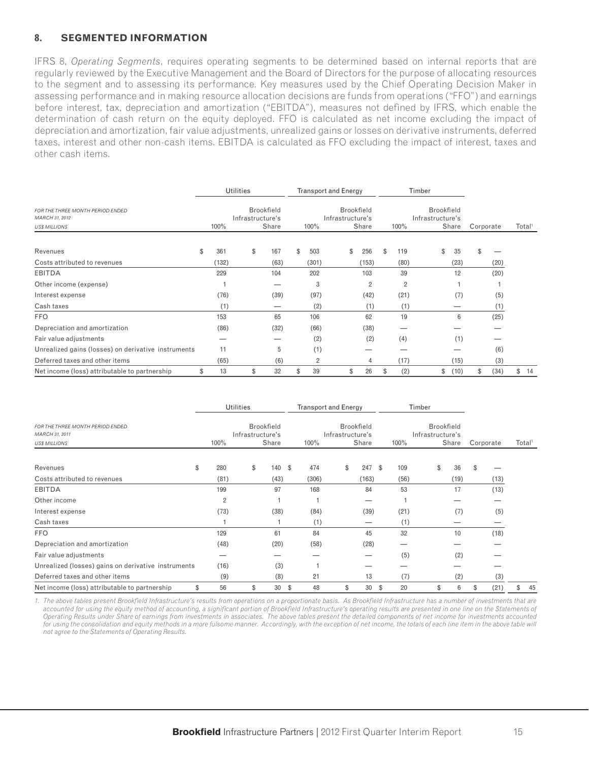#### **8. SEGMENTED INFORMATION**

IFRS 8, *Operating Segments*, requires operating segments to be determined based on internal reports that are regularly reviewed by the Executive Management and the Board of Directors for the purpose of allocating resources to the segment and to assessing its performance. Key measures used by the Chief Operating Decision Maker in assessing performance and in making resource allocation decisions are funds from operations ("FFO") and earnings before interest, tax, depreciation and amortization ("EBITDA"), measures not defined by IFRS, which enable the determination of cash return on the equity deployed. FFO is calculated as net income excluding the impact of depreciation and amortization, fair value adjustments, unrealized gains or losses on derivative instruments, deferred taxes, interest and other non-cash items. EBITDA is calculated as FFO excluding the impact of interest, taxes and other cash items.

|                                                                           | <b>Utilities</b> |                  |  |                            | <b>Transport and Energy</b> |                |                  |    | Timber                     |    |                |                  |                   |       |           |      |                    |      |
|---------------------------------------------------------------------------|------------------|------------------|--|----------------------------|-----------------------------|----------------|------------------|----|----------------------------|----|----------------|------------------|-------------------|-------|-----------|------|--------------------|------|
| FOR THE THREE MONTH PERIOD ENDED<br>MARCH 31, 2012<br><b>USS MILLIONS</b> | 100%             | Infrastructure's |  | <b>Brookfield</b><br>Share |                             | $100\%$        | Infrastructure's |    | <b>Brookfield</b><br>Share |    | 100%           | Infrastructure's | <b>Brookfield</b> | Share | Corporate |      | Total <sup>1</sup> |      |
| Revenues                                                                  | \$<br>361        | \$               |  | 167                        | \$                          | 503            |                  | \$ | 256                        | \$ | 119            |                  | \$                | 35    | \$        |      |                    |      |
| Costs attributed to revenues                                              | (132)            |                  |  | (63)                       |                             | (301)          |                  |    | (153)                      |    | (80)           |                  |                   | (23)  |           | (20) |                    |      |
| <b>EBITDA</b>                                                             | 229              |                  |  | 104                        |                             | 202            |                  |    | 103                        |    | 39             |                  |                   | 12    |           | (20) |                    |      |
| Other income (expense)                                                    |                  |                  |  | –                          |                             | 3              |                  |    | $\overline{2}$             |    | $\overline{2}$ |                  |                   |       |           |      |                    |      |
| Interest expense                                                          | (76)             |                  |  | (39)                       |                             | (97)           |                  |    | (42)                       |    | (21)           |                  |                   | (7)   |           | (5)  |                    |      |
| Cash taxes                                                                | (1)              |                  |  | —                          |                             | (2)            |                  |    | (1)                        |    | (1)            |                  |                   |       |           | (1)  |                    |      |
| <b>FFO</b>                                                                | 153              |                  |  | 65                         |                             | 106            |                  |    | 62                         |    | 19             |                  |                   | 6     |           | (25) |                    |      |
| Depreciation and amortization                                             | (86)             |                  |  | (32)                       |                             | (66)           |                  |    | (38)                       |    |                |                  |                   |       |           |      |                    |      |
| Fair value adjustments                                                    |                  |                  |  |                            |                             | (2)            |                  |    | (2)                        |    | (4)            |                  |                   | (1)   |           |      |                    |      |
| Unrealized gains (losses) on derivative instruments                       | 11               |                  |  | 5                          |                             | (1)            |                  |    |                            |    |                |                  |                   |       |           | (6)  |                    |      |
| Deferred taxes and other items                                            | (65)             |                  |  | (6)                        |                             | $\overline{2}$ |                  |    | 4                          |    | (17)           |                  |                   | (15)  |           | (3)  |                    |      |
| Net income (loss) attributable to partnership                             | \$<br>13         | \$               |  | 32                         | \$                          | 39             |                  | \$ | 26                         | S  | (2)            |                  | \$                | (10)  | \$        | (34) |                    | \$14 |

|                                                     |                | <b>Utilities</b>                      |          | <b>Transport and Energy</b> |                                       |       |           |                                |       |    |           |                    |
|-----------------------------------------------------|----------------|---------------------------------------|----------|-----------------------------|---------------------------------------|-------|-----------|--------------------------------|-------|----|-----------|--------------------|
| FOR THE THREE MONTH PERIOD ENDED<br>MARCH 31, 2011  |                | <b>Brookfield</b><br>Infrastructure's |          |                             | <b>Brookfield</b><br>Infrastructure's |       |           | Brookfield<br>Infrastructure's |       |    |           |                    |
| <b>US\$ MILLIONS</b>                                | 100%           |                                       | Share    | 100%                        |                                       | Share | 100%      |                                | Share |    | Corporate | Total <sup>1</sup> |
| \$<br>Revenues                                      | 280            | \$                                    | 140 \$   | 474                         | \$                                    | 247   | 109<br>\$ | \$                             | 36    | \$ |           |                    |
| Costs attributed to revenues                        | (81)           |                                       | (43)     | (306)                       |                                       | (163) | (56)      |                                | (19)  |    | (13)      |                    |
| <b>EBITDA</b>                                       | 199            |                                       | 97       | 168                         |                                       | 84    | 53        |                                | 17    |    | (13)      |                    |
| Other income                                        | $\overline{2}$ |                                       |          |                             |                                       |       |           |                                |       |    |           |                    |
| Interest expense                                    | (73)           |                                       | (38)     | (84)                        |                                       | (39)  | (21)      |                                | (7)   |    | (5)       |                    |
| Cash taxes                                          |                |                                       |          | (1)                         |                                       |       | (1)       |                                |       |    |           |                    |
| <b>FFO</b>                                          | 129            |                                       | 61       | 84                          |                                       | 45    | 32        |                                | 10    |    | (18)      |                    |
| Depreciation and amortization                       | (48)           |                                       | (20)     | (58)                        |                                       | (28)  |           |                                |       |    |           |                    |
| Fair value adjustments                              |                |                                       |          |                             |                                       |       | (5)       |                                | (2)   |    |           |                    |
| Unrealized (losses) gains on derivative instruments | (16)           |                                       | (3)      |                             |                                       |       |           |                                |       |    |           |                    |
| Deferred taxes and other items                      | (9)            |                                       | (8)      | 21                          |                                       | 13    | (7)       |                                | (2)   |    | (3)       |                    |
| Net income (loss) attributable to partnership<br>\$ | 56             | \$                                    | 30<br>\$ | 48                          | \$                                    | 30    | 20<br>\$  | \$                             | 6     | \$ | (21)      | 45<br>\$           |

1. The above tables present Brookfield Infrastructure's results from operations on a proportionate basis. As Brookfield Infrastructure has a number of investments that are accounted for using the equity method of accounting, a significant portion of Brookfield Infrastructure's operating results are presented in one line on the Statements of *Operating Results under Share of earnings from investments in associates. The above tables present the detailed components of net income for investments accounted*  for using the consolidation and equity methods in a more fulsome manner. Accordingly, with the exception of net income, the totals of each line item in the above table will *not agree to the Statements of Operating Results.*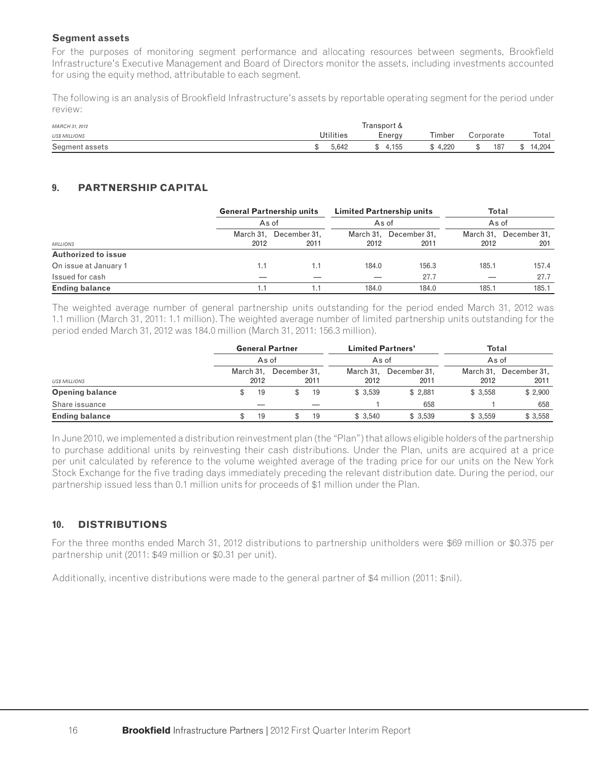#### **Segment assets**

For the purposes of monitoring segment performance and allocating resources between segments, Brookfield Infrastructure's Executive Management and Board of Directors monitor the assets, including investments accounted for using the equity method, attributable to each segment.

The following is an analysis of Brookfield Infrastructure's assets by reportable operating segment for the period under review:

| MARCH 31, 2012       | Transport & |         |         |           |          |  |  |  |
|----------------------|-------------|---------|---------|-----------|----------|--|--|--|
| <b>US\$ MILLIONS</b> | Utilities   | Energy  | Timber  | Corporate | Total    |  |  |  |
| Segment assets       | 5.642       | \$4,155 | \$4.220 | 187<br>S. | \$14.204 |  |  |  |

# **9. PARTNERSHIP CAPITAL**

|                            |           | <b>General Partnership units</b> | <b>Limited Partnership units</b> |                        | <b>Total</b> |                        |  |  |
|----------------------------|-----------|----------------------------------|----------------------------------|------------------------|--------------|------------------------|--|--|
|                            | As of     |                                  | As of                            |                        |              | As of                  |  |  |
|                            | March 31, | December 31,                     |                                  | March 31. December 31. |              | March 31, December 31, |  |  |
| <b>MILLIONS</b>            | 2012      | 2011                             | 2012                             | 2011                   | 2012         | 201                    |  |  |
| <b>Authorized to issue</b> |           |                                  |                                  |                        |              |                        |  |  |
| On issue at January 1      | 1.1       | 1.1                              | 184.0                            | 156.3                  | 185.1        | 157.4                  |  |  |
| Issued for cash            |           |                                  |                                  | 27.7                   |              | 27.7                   |  |  |
| <b>Ending balance</b>      |           |                                  | 184.0                            | 184.0                  | 185.1        | 185.1                  |  |  |

The weighted average number of general partnership units outstanding for the period ended March 31, 2012 was 1.1 million (March 31, 2011: 1.1 million). The weighted average number of limited partnership units outstanding for the period ended March 31, 2012 was 184.0 million (March 31, 2011: 156.3 million).

|                        | <b>General Partner</b> |              | <b>Limited Partners'</b> |              | Total   |                        |  |  |
|------------------------|------------------------|--------------|--------------------------|--------------|---------|------------------------|--|--|
|                        | As of                  |              | As of                    |              | As of   |                        |  |  |
|                        | March 31,              | December 31, | March 31,                | December 31, |         | March 31, December 31, |  |  |
| <b>USS MILLIONS</b>    | 2012                   | 2011         | 2012                     | 2011         | 2012    | 2011                   |  |  |
| <b>Opening balance</b> | 19                     | 19           | \$3,539                  | \$2.881      | \$3,558 | \$2,900                |  |  |
| Share issuance         |                        |              |                          | 658          |         | 658                    |  |  |
| <b>Ending balance</b>  | 19                     | 19           | \$3,540                  | \$3,539      | \$3,559 | \$3,558                |  |  |

In June 2010, we implemented a distribution reinvestment plan (the "Plan") that allows eligible holders of the partnership to purchase additional units by reinvesting their cash distributions. Under the Plan, units are acquired at a price per unit calculated by reference to the volume weighted average of the trading price for our units on the New York Stock Exchange for the five trading days immediately preceding the relevant distribution date. During the period, our partnership issued less than 0.1 million units for proceeds of \$1 million under the Plan.

# **10. DISTRIBUTIONS**

For the three months ended March 31, 2012 distributions to partnership unitholders were \$69 million or \$0.375 per partnership unit (2011: \$49 million or \$0.31 per unit).

Additionally, incentive distributions were made to the general partner of \$4 million (2011: \$nil).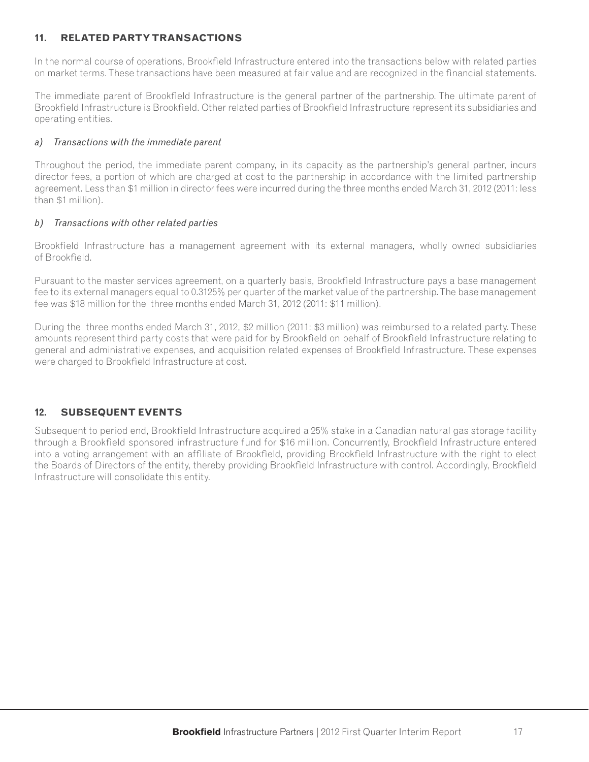# **11. RELATED PARTY TRANSACTIONS**

In the normal course of operations, Brookfield Infrastructure entered into the transactions below with related parties on market terms. These transactions have been measured at fair value and are recognized in the financial statements.

The immediate parent of Brookfield Infrastructure is the general partner of the partnership. The ultimate parent of Brookfield Infrastructure is Brookfield. Other related parties of Brookfield Infrastructure represent its subsidiaries and operating entities.

#### *a) Transactions with the immediate parent*

Throughout the period, the immediate parent company, in its capacity as the partnership's general partner, incurs director fees, a portion of which are charged at cost to the partnership in accordance with the limited partnership agreement. Less than \$1 million in director fees were incurred during the three months ended March 31, 2012 (2011: less than \$1 million).

#### *b) Transactions with other related parties*

Brookfield Infrastructure has a management agreement with its external managers, wholly owned subsidiaries of Brookfield.

Pursuant to the master services agreement, on a quarterly basis, Brookfield Infrastructure pays a base management fee to its external managers equal to 0.3125% per quarter of the market value of the partnership. The base management fee was \$18 million for the three months ended March 31, 2012 (2011: \$11 million).

During the three months ended March 31, 2012, \$2 million (2011: \$3 million) was reimbursed to a related party. These amounts represent third party costs that were paid for by Brookfield on behalf of Brookfield Infrastructure relating to general and administrative expenses, and acquisition related expenses of Brookfield Infrastructure. These expenses were charged to Brookfield Infrastructure at cost.

# **12. SUBSEQUENT EVENTS**

Subsequent to period end, Brookfield Infrastructure acquired a 25% stake in a Canadian natural gas storage facility through a Brookfield sponsored infrastructure fund for \$16 million. Concurrently, Brookfield Infrastructure entered into a voting arrangement with an affiliate of Brookfield, providing Brookfield Infrastructure with the right to elect the Boards of Directors of the entity, thereby providing Brookfield Infrastructure with control. Accordingly, Brookfield Infrastructure will consolidate this entity.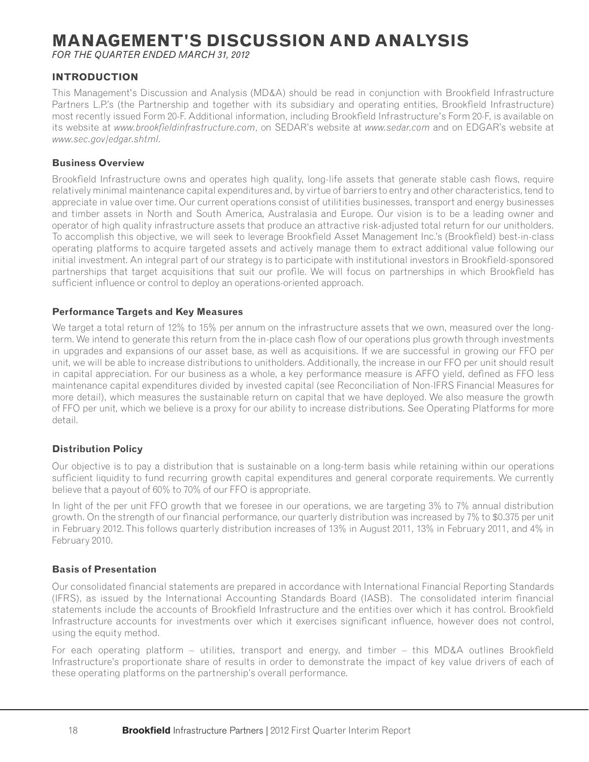# **MANAGEMENT'S DISCUSSION AND ANALYSIS**

*FOR THE QUARTER ENDED MARCH 31, 2012*

# **INTRODUCTION**

This Management's Discussion and Analysis (MD&A) should be read in conjunction with Brookfield Infrastructure Partners L.P.'s (the Partnership and together with its subsidiary and operating entities, Brookfield Infrastructure) most recently issued Form 20-F. Additional information, including Brookfield Infrastructure's Form 20-F, is available on its website at *www.brookfieldinfrastructure.com*, on SEDAR's website at *www.sedar.com* and on EDGAR's website at *www.sec.gov/edgar.shtml.*

#### **Business Overview**

Brookfield Infrastructure owns and operates high quality, long-life assets that generate stable cash flows, require relatively minimal maintenance capital expenditures and, by virtue of barriers to entry and other characteristics, tend to appreciate in value over time. Our current operations consist of utilitities businesses, transport and energy businesses and timber assets in North and South America, Australasia and Europe. Our vision is to be a leading owner and operator of high quality infrastructure assets that produce an attractive risk-adjusted total return for our unitholders. To accomplish this objective, we will seek to leverage Brookfield Asset Management Inc.'s (Brookfield) best-in-class operating platforms to acquire targeted assets and actively manage them to extract additional value following our initial investment. An integral part of our strategy is to participate with institutional investors in Brookfield-sponsored partnerships that target acquisitions that suit our profile. We will focus on partnerships in which Brookfield has sufficient influence or control to deploy an operations-oriented approach.

#### **Performance Targets and Key Measures**

We target a total return of 12% to 15% per annum on the infrastructure assets that we own, measured over the longterm. We intend to generate this return from the in-place cash flow of our operations plus growth through investments in upgrades and expansions of our asset base, as well as acquisitions. If we are successful in growing our FFO per unit, we will be able to increase distributions to unitholders. Additionally, the increase in our FFO per unit should result in capital appreciation. For our business as a whole, a key performance measure is AFFO yield, defined as FFO less maintenance capital expenditures divided by invested capital (see Reconciliation of Non-IFRS Financial Measures for more detail), which measures the sustainable return on capital that we have deployed. We also measure the growth of FFO per unit, which we believe is a proxy for our ability to increase distributions. See Operating Platforms for more detail.

# **Distribution Policy**

Our objective is to pay a distribution that is sustainable on a long-term basis while retaining within our operations sufficient liquidity to fund recurring growth capital expenditures and general corporate requirements. We currently believe that a payout of 60% to 70% of our FFO is appropriate.

In light of the per unit FFO growth that we foresee in our operations, we are targeting 3% to 7% annual distribution growth. On the strength of our financial performance, our quarterly distribution was increased by 7% to \$0.375 per unit in February 2012. This follows quarterly distribution increases of 13% in August 2011, 13% in February 2011, and 4% in February 2010.

#### **Basis of Presentation**

Our consolidated financial statements are prepared in accordance with International Financial Reporting Standards (IFRS), as issued by the International Accounting Standards Board (IASB). The consolidated interim financial statements include the accounts of Brookfield Infrastructure and the entities over which it has control. Brookfield Infrastructure accounts for investments over which it exercises significant influence, however does not control, using the equity method.

For each operating platform  $-$  utilities, transport and energy, and timber  $-$  this MD&A outlines Brookfield Infrastructure's proportionate share of results in order to demonstrate the impact of key value drivers of each of these operating platforms on the partnership's overall performance.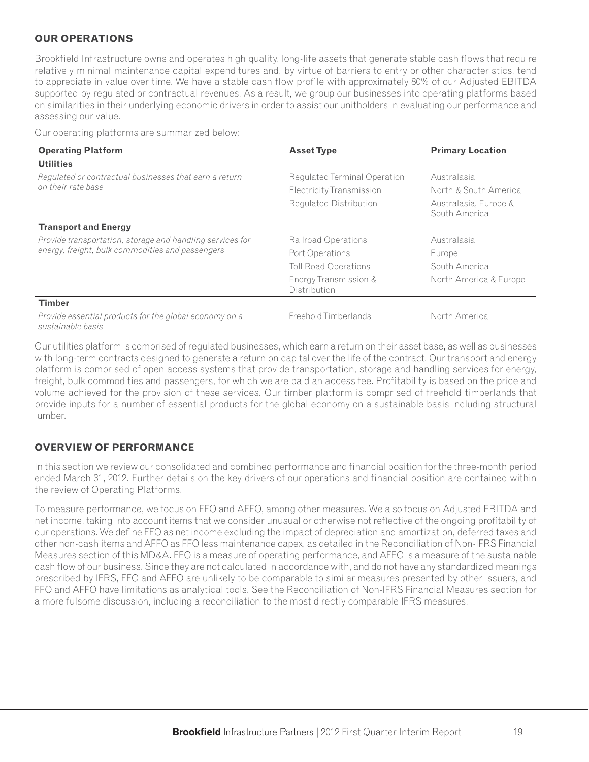# **OUR OPERATIONS**

Brookfield Infrastructure owns and operates high quality, long-life assets that generate stable cash flows that require relatively minimal maintenance capital expenditures and, by virtue of barriers to entry or other characteristics, tend to appreciate in value over time. We have a stable cash flow profile with approximately 80% of our Adjusted EBITDA supported by regulated or contractual revenues. As a result, we group our businesses into operating platforms based on similarities in their underlying economic drivers in order to assist our unitholders in evaluating our performance and assessing our value.

Our operating platforms are summarized below:

| <b>Operating Platform</b>                                                   | <b>Asset Type</b>                     | <b>Primary Location</b>                |  |
|-----------------------------------------------------------------------------|---------------------------------------|----------------------------------------|--|
| <b>Utilities</b>                                                            |                                       |                                        |  |
| Regulated or contractual businesses that earn a return                      | Regulated Terminal Operation          | Australasia                            |  |
| on their rate base                                                          | Electricity Transmission              | North & South America                  |  |
|                                                                             | Regulated Distribution                | Australasia, Europe &<br>South America |  |
| <b>Transport and Energy</b>                                                 |                                       |                                        |  |
| Provide transportation, storage and handling services for                   | Railroad Operations                   | Australasia                            |  |
| energy, freight, bulk commodities and passengers                            | Port Operations                       | Europe                                 |  |
|                                                                             | <b>Toll Road Operations</b>           | South America                          |  |
|                                                                             | Energy Transmission &<br>Distribution | North America & Europe                 |  |
| <b>Timber</b>                                                               |                                       |                                        |  |
| Provide essential products for the global economy on a<br>sustainable basis | Freehold Timberlands                  | North America                          |  |

Our utilities platform is comprised of regulated businesses, which earn a return on their asset base, as well as businesses with long-term contracts designed to generate a return on capital over the life of the contract. Our transport and energy platform is comprised of open access systems that provide transportation, storage and handling services for energy, freight, bulk commodities and passengers, for which we are paid an access fee. Profitability is based on the price and volume achieved for the provision of these services. Our timber platform is comprised of freehold timberlands that provide inputs for a number of essential products for the global economy on a sustainable basis including structural lumber.

# **OVERVIEW OF PERFORMANCE**

In this section we review our consolidated and combined performance and financial position for the three-month period ended March 31, 2012. Further details on the key drivers of our operations and financial position are contained within the review of Operating Platforms.

To measure performance, we focus on FFO and AFFO, among other measures. We also focus on Adjusted EBITDA and net income, taking into account items that we consider unusual or otherwise not reflective of the ongoing profitability of our operations. We define FFO as net income excluding the impact of depreciation and amortization, deferred taxes and other non-cash items and AFFO as FFO less maintenance capex, as detailed in the Reconciliation of Non-IFRS Financial Measures section of this MD&A. FFO is a measure of operating performance, and AFFO is a measure of the sustainable cash flow of our business. Since they are not calculated in accordance with, and do not have any standardized meanings prescribed by IFRS, FFO and AFFO are unlikely to be comparable to similar measures presented by other issuers, and FFO and AFFO have limitations as analytical tools. See the Reconciliation of Non-IFRS Financial Measures section for a more fulsome discussion, including a reconciliation to the most directly comparable IFRS measures.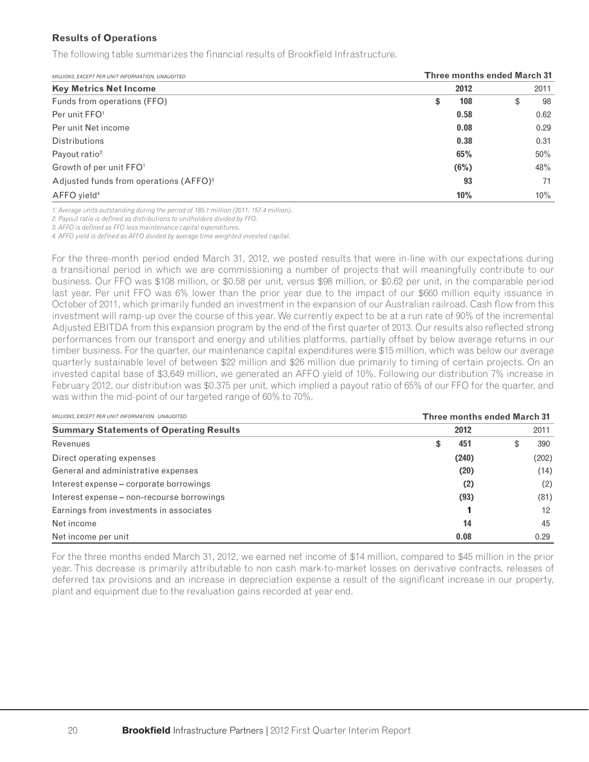#### **Results of Operations**

The following table summarizes the financial results of Brookfield Infrastructure.

| MILLIONS, EXCEPT PER UNIT INFORMATION, UNAUDITED   |    | <b>Three months ended March 31</b> |   |      |  |  |  |  |
|----------------------------------------------------|----|------------------------------------|---|------|--|--|--|--|
| <b>Key Metrics Net Income</b>                      |    | 2012                               |   | 2011 |  |  |  |  |
| Funds from operations (FFO)                        | \$ | 108                                | S | 98   |  |  |  |  |
| Per unit FFO <sup>1</sup>                          |    | 0.58                               |   | 0.62 |  |  |  |  |
| Per unit Net income                                |    | 0.08                               |   | 0.29 |  |  |  |  |
| <b>Distributions</b>                               |    | 0.38                               |   | 0.31 |  |  |  |  |
| Payout ratio <sup>2</sup>                          |    | 65%                                |   | 50%  |  |  |  |  |
| Growth of per unit FFO <sup>1</sup>                |    | (6%)                               |   | 48%  |  |  |  |  |
| Adjusted funds from operations (AFFO) <sup>3</sup> |    | 93                                 |   | 71   |  |  |  |  |
| AFFO yield <sup>4</sup>                            |    | 10%                                |   | 10%  |  |  |  |  |

*1. Average units outstanding during the period of 185.1 million (2011: 157.4 million).*

2. Payout ratio is defined as distributions to unitholders divided by FFO.

*3. AFFO is defi ned as FFO less maintenance capital expenditures.*

4. AFFO yield is defined as AFFO divided by average time weighted invested capital.

For the three-month period ended March 31, 2012, we posted results that were in-line with our expectations during a transitional period in which we are commissioning a number of projects that will meaningfully contribute to our business. Our FFO was \$108 million, or \$0.58 per unit, versus \$98 million, or \$0.62 per unit, in the comparable period last year. Per unit FFO was 6% lower than the prior year due to the impact of our \$660 million equity issuance in October of 2011, which primarily funded an investment in the expansion of our Australian railroad. Cash flow from this investment will ramp-up over the course of this year. We currently expect to be at a run rate of 90% of the incremental Adjusted EBITDA from this expansion program by the end of the first quarter of 2013. Our results also reflected strong performances from our transport and energy and utilities platforms, partially offset by below average returns in our timber business. For the quarter, our maintenance capital expenditures were \$15 million, which was below our average quarterly sustainable level of between \$22 million and \$26 million due primarily to timing of certain projects. On an invested capital base of \$3,649 million, we generated an AFFO yield of 10%. Following our distribution 7% increase in February 2012, our distribution was \$0.375 per unit, which implied a payout ratio of 65% of our FFO for the quarter, and was within the mid-point of our targeted range of 60% to 70%.

| MILLIONS, EXCEPT PER UNIT INFORMATION, UNAUDITED |          | <b>Three months ended March 31</b> |
|--------------------------------------------------|----------|------------------------------------|
| <b>Summary Statements of Operating Results</b>   | 2012     | 2011                               |
| Revenues                                         | 451<br>S | 390                                |
| Direct operating expenses                        | (240)    | (202)                              |
| General and administrative expenses              | (20)     | (14)                               |
| Interest expense – corporate borrowings          | (2)      | (2)                                |
| Interest expense – non-recourse borrowings       | (93)     | (81)                               |
| Earnings from investments in associates          |          | 12                                 |
| Net income                                       | 14       | 45                                 |
| Net income per unit                              | 0.08     | 0.29                               |

For the three months ended March 31, 2012, we earned net income of \$14 million, compared to \$45 million in the prior year. This decrease is primarily attributable to non cash mark-to-market losses on derivative contracts, releases of deferred tax provisions and an increase in depreciation expense a result of the significant increase in our property, plant and equipment due to the revaluation gains recorded at year end.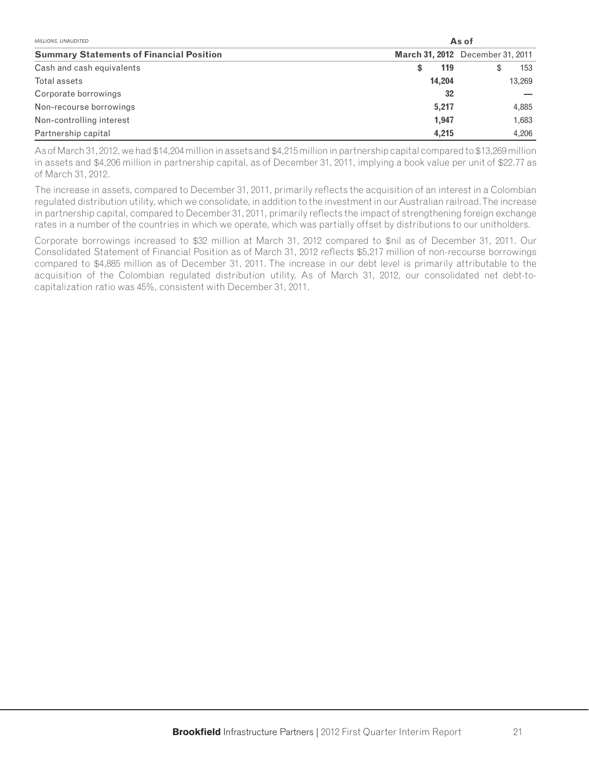| <b>MILLIONS, UNAUDITED</b>                      |           | As of                                   |  |  |  |  |  |
|-------------------------------------------------|-----------|-----------------------------------------|--|--|--|--|--|
| <b>Summary Statements of Financial Position</b> |           | <b>March 31, 2012</b> December 31, 2011 |  |  |  |  |  |
| Cash and cash equivalents                       | 119<br>\$ | 153                                     |  |  |  |  |  |
| Total assets                                    | 14,204    | 13,269                                  |  |  |  |  |  |
| Corporate borrowings                            | 32        |                                         |  |  |  |  |  |
| Non-recourse borrowings                         | 5.217     | 4,885                                   |  |  |  |  |  |
| Non-controlling interest                        | 1.947     | 1,683                                   |  |  |  |  |  |
| Partnership capital                             | 4,215     | 4,206                                   |  |  |  |  |  |

As of March 31, 2012, we had \$14,204 million in assets and \$4,215 million in partnership capital compared to \$13,269 million in assets and \$4,206 million in partnership capital, as of December 31, 2011, implying a book value per unit of \$22.77 as of March 31, 2012.

The increase in assets, compared to December 31, 2011, primarily reflects the acquisition of an interest in a Colombian regulated distribution utility, which we consolidate, in addition to the investment in our Australian railroad. The increase in partnership capital, compared to December 31, 2011, primarily reflects the impact of strengthening foreign exchange rates in a number of the countries in which we operate, which was partially offset by distributions to our unitholders.

Corporate borrowings increased to \$32 million at March 31, 2012 compared to \$nil as of December 31, 2011. Our Consolidated Statement of Financial Position as of March 31, 2012 reflects \$5,217 million of non-recourse borrowings compared to \$4,885 million as of December 31, 2011. The increase in our debt level is primarily attributable to the acquisition of the Colombian regulated distribution utility. As of March 31, 2012, our consolidated net debt-tocapitalization ratio was 45%, consistent with December 31, 2011.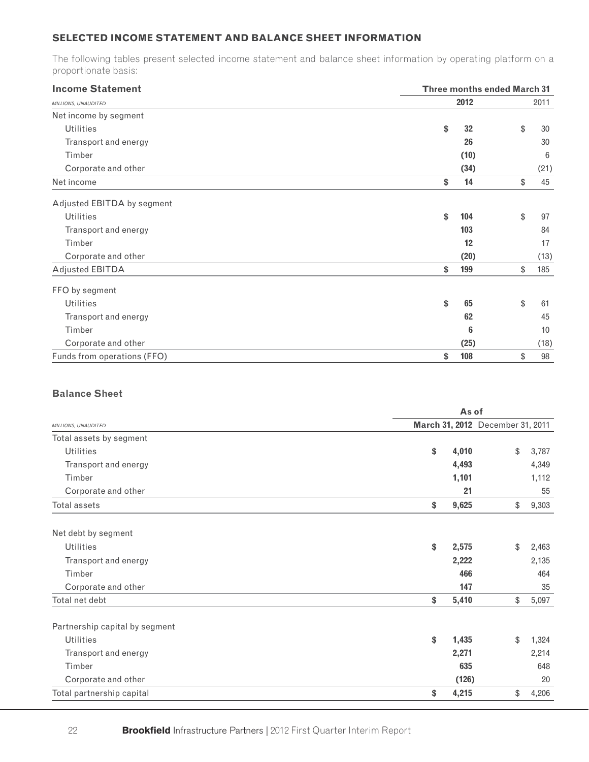# **SELECTED INCOME STATEMENT AND BALANCE SHEET INFORMATION**

The following tables present selected income statement and balance sheet information by operating platform on a proportionate basis:

| <b>Income Statement</b>     | <b>Three months ended March 31</b> |
|-----------------------------|------------------------------------|
| MILLIONS, UNAUDITED         | 2012<br>2011                       |
| Net income by segment       |                                    |
| <b>Utilities</b>            | 32<br>\$<br>\$<br>30               |
| Transport and energy        | 30<br>26                           |
| Timber                      | (10)<br>6                          |
| Corporate and other         | (34)<br>(21)                       |
| Net income                  | \$<br>14<br>\$<br>45               |
| Adjusted EBITDA by segment  |                                    |
| <b>Utilities</b>            | \$<br>104<br>\$<br>97              |
| Transport and energy        | 103<br>84                          |
| Timber                      | 12<br>17                           |
| Corporate and other         | (20)<br>(13)                       |
| <b>Adjusted EBITDA</b>      | 199<br>\$<br>\$<br>185             |
| FFO by segment              |                                    |
| <b>Utilities</b>            | \$<br>65<br>\$<br>61               |
| Transport and energy        | 45<br>62                           |
| Timber                      | 6<br>10                            |
| Corporate and other         | (25)<br>(18)                       |
| Funds from operations (FFO) | 108<br>\$<br>\$<br>98              |

# **Balance Sheet**

|                                | As of                            |       |  |  |  |
|--------------------------------|----------------------------------|-------|--|--|--|
| MILLIONS, UNAUDITED            | March 31, 2012 December 31, 2011 |       |  |  |  |
| Total assets by segment        |                                  |       |  |  |  |
| <b>Utilities</b>               | \$<br>\$<br>4,010                | 3,787 |  |  |  |
| Transport and energy           | 4,493                            | 4,349 |  |  |  |
| Timber                         | 1,101                            | 1,112 |  |  |  |
| Corporate and other            | 21                               | 55    |  |  |  |
| <b>Total assets</b>            | \$<br>9,625<br>\$                | 9,303 |  |  |  |
| Net debt by segment            |                                  |       |  |  |  |
| <b>Utilities</b>               | \$<br>2,575<br>\$                | 2,463 |  |  |  |
| Transport and energy           | 2,222                            | 2,135 |  |  |  |
| Timber                         | 466                              | 464   |  |  |  |
| Corporate and other            | 147                              | 35    |  |  |  |
| Total net debt                 | \$<br>5,410<br>\$                | 5,097 |  |  |  |
| Partnership capital by segment |                                  |       |  |  |  |
| <b>Utilities</b>               | \$<br>1,435<br>\$                | 1,324 |  |  |  |
| Transport and energy           | 2,271                            | 2,214 |  |  |  |
| Timber                         | 635                              | 648   |  |  |  |
| Corporate and other            | (126)                            | 20    |  |  |  |
| Total partnership capital      | \$<br>4,215<br>\$                | 4,206 |  |  |  |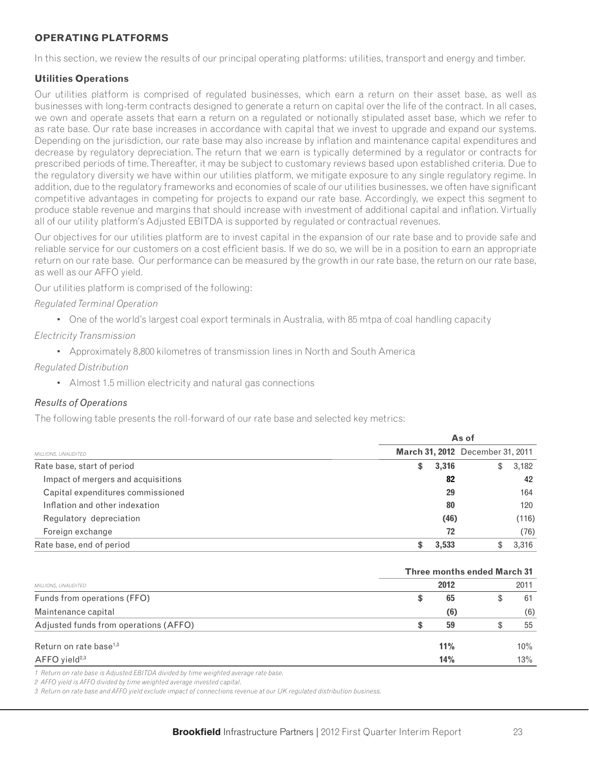### **OPERATING PLATFORMS**

In this section, we review the results of our principal operating platforms: utilities, transport and energy and timber.

#### **Utilities Operations**

Our utilities platform is comprised of regulated businesses, which earn a return on their asset base, as well as businesses with long-term contracts designed to generate a return on capital over the life of the contract. In all cases, we own and operate assets that earn a return on a regulated or notionally stipulated asset base, which we refer to as rate base. Our rate base increases in accordance with capital that we invest to upgrade and expand our systems. Depending on the jurisdiction, our rate base may also increase by inflation and maintenance capital expenditures and decrease by regulatory depreciation. The return that we earn is typically determined by a regulator or contracts for prescribed periods of time. Thereafter, it may be subject to customary reviews based upon established criteria. Due to the regulatory diversity we have within our utilities platform, we mitigate exposure to any single regulatory regime. In addition, due to the regulatory frameworks and economies of scale of our utilities businesses, we often have significant competitive advantages in competing for projects to expand our rate base. Accordingly, we expect this segment to produce stable revenue and margins that should increase with investment of additional capital and inflation. Virtually all of our utility platform's Adjusted EBITDA is supported by regulated or contractual revenues.

Our objectives for our utilities platform are to invest capital in the expansion of our rate base and to provide safe and reliable service for our customers on a cost efficient basis. If we do so, we will be in a position to earn an appropriate return on our rate base. Our performance can be measured by the growth in our rate base, the return on our rate base, as well as our AFFO yield.

Our utilities platform is comprised of the following:

#### *Regulated Terminal Operation*

• One of the world's largest coal export terminals in Australia, with 85 mtpa of coal handling capacity

## *Electricity Transmission*

• Approximately 8,800 kilometres of transmission lines in North and South America

## *Regulated Distribution*

• Almost 1.5 million electricity and natural gas connections

# *Results of Operations*

The following table presents the roll-forward of our rate base and selected key metrics:

|                                    |    | As of |                                         |       |  |  |  |  |
|------------------------------------|----|-------|-----------------------------------------|-------|--|--|--|--|
| MILLIONS, UNAUDITED                |    |       | <b>March 31, 2012</b> December 31, 2011 |       |  |  |  |  |
| Rate base, start of period         | \$ | 3,316 | S                                       | 3,182 |  |  |  |  |
| Impact of mergers and acquisitions |    | 82    |                                         | 42    |  |  |  |  |
| Capital expenditures commissioned  |    | 29    |                                         | 164   |  |  |  |  |
| Inflation and other indexation     |    | 80    |                                         | 120   |  |  |  |  |
| Regulatory depreciation            |    | (46)  |                                         | (116) |  |  |  |  |
| Foreign exchange                   |    | 72    |                                         | (76)  |  |  |  |  |
| Rate base, end of period           |    | 3,533 |                                         | 3,316 |  |  |  |  |

|                                       | <b>Three months ended March 31</b> |      |     |  |  |  |
|---------------------------------------|------------------------------------|------|-----|--|--|--|
| MILLIONS, UNAUDITED                   | 2012                               | 2011 |     |  |  |  |
| Funds from operations (FFO)           | \$<br>65                           |      | 61  |  |  |  |
| Maintenance capital                   | (6)                                |      | (6) |  |  |  |
| Adjusted funds from operations (AFFO) | 59                                 |      | 55  |  |  |  |
| Return on rate base <sup>1,3</sup>    | 11%                                |      | 10% |  |  |  |
| $AFFO$ yield <sup>2,3</sup>           | 14%                                |      | 13% |  |  |  |

*1 Return on rate base is Adjusted EBITDA divided by time weighted average rate base.*

*2 AFFO yield is AFFO divided by time weighted average invested capital.*

*3 Return on rate base and AFFO yield exclude impact of connections revenue at our UK regulated distribution business.*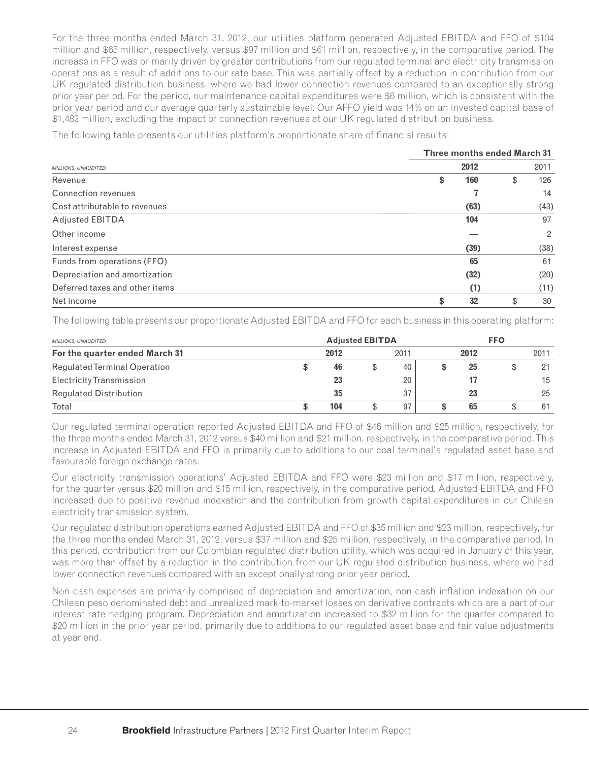For the three months ended March 31, 2012, our utilities platform generated Adjusted EBITDA and FFO of \$104 million and \$65 million, respectively, versus \$97 million and \$61 million, respectively, in the comparative period. The increase in FFO was primarily driven by greater contributions from our regulated terminal and electricity transmission operations as a result of additions to our rate base. This was partially offset by a reduction in contribution from our UK regulated distribution business, where we had lower connection revenues compared to an exceptionally strong prior year period. For the period, our maintenance capital expenditures were \$6 million, which is consistent with the prior year period and our average quarterly sustainable level. Our AFFO yield was 14% on an invested capital base of \$1,482 million, excluding the impact of connection revenues at our UK regulated distribution business.

The following table presents our utilities platform's proportionate share of financial results:

|                                | <b>Three months ended March 31</b> |
|--------------------------------|------------------------------------|
| MILLIONS, UNAUDITED            | 2012<br>2011                       |
| Revenue                        | 160<br>\$<br>126<br>\$             |
| Connection revenues            | 14                                 |
| Cost attributable to revenues  | (63)<br>(43)                       |
| Adjusted EBITDA                | 97<br>104                          |
| Other income                   | $\overline{2}$                     |
| Interest expense               | (39)<br>(38)                       |
| Funds from operations (FFO)    | 65<br>61                           |
| Depreciation and amortization  | (32)<br>(20)                       |
| Deferred taxes and other items | (11)<br>(1)                        |
| Net income                     | 32<br>\$<br>30<br>\$               |

The following table presents our proportionate Adjusted EBITDA and FFO for each business in this operating platform:

| MILLIONS, UNAUDITED                 |  | <b>Adjusted EBITDA</b> |   |      |   | <b>FFO</b> |  |      |  |
|-------------------------------------|--|------------------------|---|------|---|------------|--|------|--|
| For the quarter ended March 31      |  | 2012                   |   | 2011 |   | 2012       |  | 2011 |  |
| <b>Regulated Terminal Operation</b> |  | 46                     | S | 40   | S | 25         |  | 21   |  |
| Electricity Transmission            |  | 23                     |   | 20   |   |            |  | 15   |  |
| <b>Regulated Distribution</b>       |  | 35                     |   | 37   |   | 23         |  | 25   |  |
| Total                               |  | 104                    |   | 97   | S | 65         |  | 61   |  |

Our regulated terminal operation reported Adjusted EBITDA and FFO of \$46 million and \$25 million, respectively, for the three months ended March 31, 2012 versus \$40 million and \$21 million, respectively, in the comparative period. This increase in Adjusted EBITDA and FFO is primarily due to additions to our coal terminal's regulated asset base and favourable foreign exchange rates.

Our electricity transmission operations' Adjusted EBITDA and FFO were \$23 million and \$17 million, respectively, for the quarter versus \$20 million and \$15 million, respectively, in the comparative period. Adjusted EBITDA and FFO increased due to positive revenue indexation and the contribution from growth capital expenditures in our Chilean electricity transmission system.

Our regulated distribution operations earned Adjusted EBITDA and FFO of \$35 million and \$23 million, respectively, for the three months ended March 31, 2012, versus \$37 million and \$25 million, respectively, in the comparative period. In this period, contribution from our Colombian regulated distribution utility, which was acquired in January of this year, was more than offset by a reduction in the contribution from our UK regulated distribution business, where we had lower connection revenues compared with an exceptionally strong prior year period.

Non-cash expenses are primarily comprised of depreciation and amortization, non-cash inflation indexation on our Chilean peso denominated debt and unrealized mark-to-market losses on derivative contracts which are a part of our interest rate hedging program. Depreciation and amortization increased to \$32 million for the quarter compared to \$20 million in the prior year period, primarily due to additions to our regulated asset base and fair value adjustments at year end.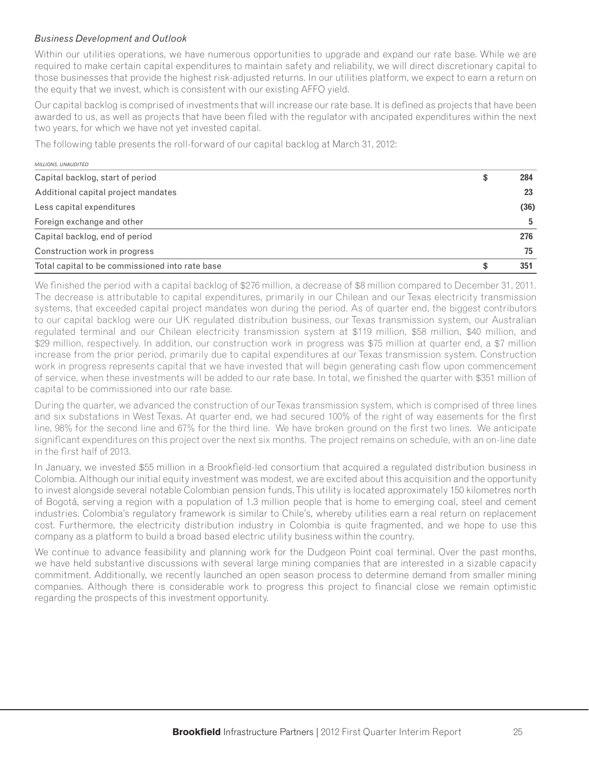### *Business Development and Outlook*

Within our utilities operations, we have numerous opportunities to upgrade and expand our rate base. While we are required to make certain capital expenditures to maintain safety and reliability, we will direct discretionary capital to those businesses that provide the highest risk-adjusted returns. In our utilities platform, we expect to earn a return on the equity that we invest, which is consistent with our existing AFFO yield.

Our capital backlog is comprised of investments that will increase our rate base. It is defined as projects that have been awarded to us, as well as projects that have been filed with the regulator with ancipated expenditures within the next two years, for which we have not yet invested capital.

The following table presents the roll-forward of our capital backlog at March 31, 2012:

| <b>MILLIONS, UNAUDITED</b>                      |   |      |
|-------------------------------------------------|---|------|
| Capital backlog, start of period                | S | 284  |
| Additional capital project mandates             |   | 23   |
| Less capital expenditures                       |   | (36) |
| Foreign exchange and other                      |   | 5    |
| Capital backlog, end of period                  |   | 276  |
| Construction work in progress                   |   | 75   |
| Total capital to be commissioned into rate base |   | 351  |

We finished the period with a capital backlog of \$276 million, a decrease of \$8 million compared to December 31, 2011. The decrease is attributable to capital expenditures, primarily in our Chilean and our Texas electricity transmission systems, that exceeded capital project mandates won during the period. As of quarter end, the biggest contributors to our capital backlog were our UK regulated distribution business, our Texas transmission system, our Australian regulated terminal and our Chilean electricity transmission system at \$119 million, \$58 million, \$40 million, and \$29 million, respectively. In addition, our construction work in progress was \$75 million at quarter end, a \$7 million increase from the prior period, primarily due to capital expenditures at our Texas transmission system. Construction work in progress represents capital that we have invested that will begin generating cash flow upon commencement of service, when these investments will be added to our rate base. In total, we finished the quarter with \$351 million of capital to be commissioned into our rate base.

During the quarter, we advanced the construction of our Texas transmission system, which is comprised of three lines and six substations in West Texas. At quarter end, we had secured 100% of the right of way easements for the first line, 98% for the second line and 67% for the third line. We have broken ground on the first two lines. We anticipate significant expenditures on this project over the next six months. The project remains on schedule, with an on-line date in the first half of 2013.

In January, we invested \$55 million in a Brookfield-led consortium that acquired a regulated distribution business in Colombia. Although our initial equity investment was modest, we are excited about this acquisition and the opportunity to invest alongside several notable Colombian pension funds. This utility is located approximately 150 kilometres north of Bogotá, serving a region with a population of 1.3 million people that is home to emerging coal, steel and cement industries. Colombia's regulatory framework is similar to Chile's, whereby utilities earn a real return on replacement cost. Furthermore, the electricity distribution industry in Colombia is quite fragmented, and we hope to use this company as a platform to build a broad based electric utility business within the country.

We continue to advance feasibility and planning work for the Dudgeon Point coal terminal. Over the past months, we have held substantive discussions with several large mining companies that are interested in a sizable capacity commitment. Additionally, we recently launched an open season process to determine demand from smaller mining companies. Although there is considerable work to progress this project to financial close we remain optimistic regarding the prospects of this investment opportunity.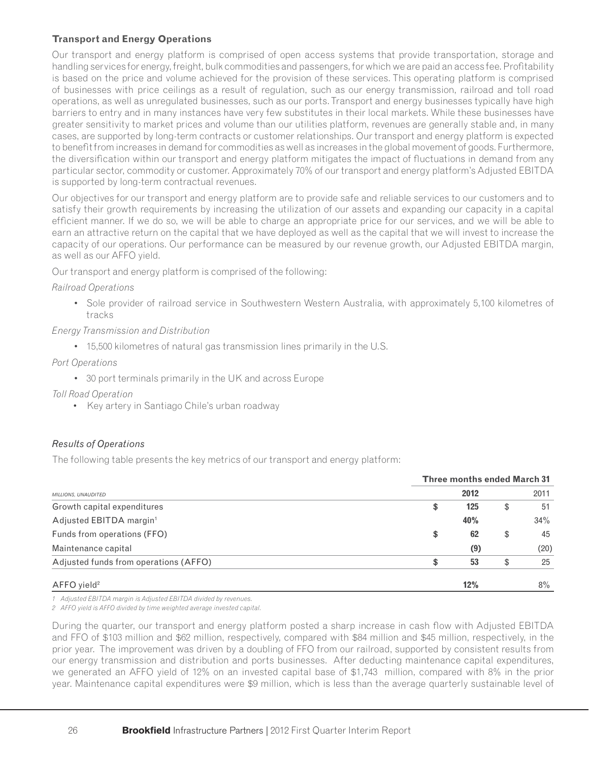# **Transport and Energy Operations**

Our transport and energy platform is comprised of open access systems that provide transportation, storage and handling services for energy, freight, bulk commodities and passengers, for which we are paid an access fee. Profitability is based on the price and volume achieved for the provision of these services. This operating platform is comprised of businesses with price ceilings as a result of regulation, such as our energy transmission, railroad and toll road operations, as well as unregulated businesses, such as our ports. Transport and energy businesses typically have high barriers to entry and in many instances have very few substitutes in their local markets. While these businesses have greater sensitivity to market prices and volume than our utilities platform, revenues are generally stable and, in many cases, are supported by long-term contracts or customer relationships. Our transport and energy platform is expected to benefit from increases in demand for commodities as well as increases in the global movement of goods. Furthermore, the diversification within our transport and energy platform mitigates the impact of fluctuations in demand from any particular sector, commodity or customer. Approximately 70% of our transport and energy platform's Adjusted EBITDA is supported by long-term contractual revenues.

Our objectives for our transport and energy platform are to provide safe and reliable services to our customers and to satisfy their growth requirements by increasing the utilization of our assets and expanding our capacity in a capital efficient manner. If we do so, we will be able to charge an appropriate price for our services, and we will be able to earn an attractive return on the capital that we have deployed as well as the capital that we will invest to increase the capacity of our operations. Our performance can be measured by our revenue growth, our Adjusted EBITDA margin, as well as our AFFO yield.

Our transport and energy platform is comprised of the following:

## *Railroad Operations*

• Sole provider of railroad service in Southwestern Western Australia, with approximately 5,100 kilometres of tracks

# *Energy Transmission and Distribution*

• 15,500 kilometres of natural gas transmission lines primarily in the U.S.

## *Port Operations*

- 30 port terminals primarily in the UK and across Europe
- *Toll Road Operation*
	- Key artery in Santiago Chile's urban roadway

# *Results of Operations*

The following table presents the key metrics of our transport and energy platform:

|                                       |    | <b>Three months ended March 31</b> |    |       |  |  |
|---------------------------------------|----|------------------------------------|----|-------|--|--|
| MILLIONS, UNAUDITED                   |    | 2012                               |    | 2011  |  |  |
| Growth capital expenditures           | \$ | 125                                | \$ | 51    |  |  |
| Adjusted EBITDA margin <sup>1</sup>   |    | 40%                                |    | 34%   |  |  |
| Funds from operations (FFO)           | \$ | 62                                 | \$ | 45    |  |  |
| Maintenance capital                   |    | (9)                                |    | (20)  |  |  |
| Adjusted funds from operations (AFFO) | S  | 53                                 | \$ | 25    |  |  |
| $AFFO$ yield <sup>2</sup>             |    | 12%                                |    | $8\%$ |  |  |

*1 Adjusted EBITDA margin is Adjusted EBITDA divided by revenues.*

*2 AFFO yield is AFFO divided by time weighted average invested capital.*

During the quarter, our transport and energy platform posted a sharp increase in cash flow with Adjusted EBITDA and FFO of \$103 million and \$62 million, respectively, compared with \$84 million and \$45 million, respectively, in the prior year. The improvement was driven by a doubling of FFO from our railroad, supported by consistent results from our energy transmission and distribution and ports businesses. After deducting maintenance capital expenditures, we generated an AFFO yield of 12% on an invested capital base of \$1,743 million, compared with 8% in the prior year. Maintenance capital expenditures were \$9 million, which is less than the average quarterly sustainable level of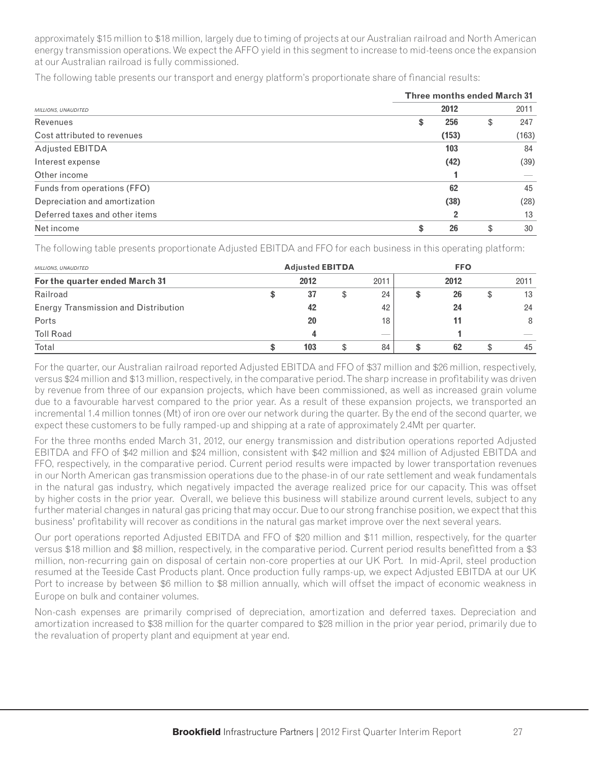approximately \$15 million to \$18 million, largely due to timing of projects at our Australian railroad and North American energy transmission operations. We expect the AFFO yield in this segment to increase to mid-teens once the expansion at our Australian railroad is fully commissioned.

The following table presents our transport and energy platform's proportionate share of financial results:

|                                | <b>Three months ended March 31</b> |
|--------------------------------|------------------------------------|
| MILLIONS, UNAUDITED            | 2012<br>2011                       |
| Revenues                       | 256<br>247<br>\$<br>\$             |
| Cost attributed to revenues    | (153)<br>(163)                     |
| Adjusted EBITDA                | 103<br>84                          |
| Interest expense               | (39)<br>(42)                       |
| Other income                   |                                    |
| Funds from operations (FFO)    | 62<br>45                           |
| Depreciation and amortization  | (28)<br>(38)                       |
| Deferred taxes and other items | 13<br>$\overline{2}$               |
| Net income                     | 26<br>30<br>\$<br>\$               |

The following table presents proportionate Adjusted EBITDA and FFO for each business in this operating platform:

| MILLIONS, UNAUDITED                  | <b>Adjusted EBITDA</b> |      |    | <b>FFO</b>               |   |      |    |                          |
|--------------------------------------|------------------------|------|----|--------------------------|---|------|----|--------------------------|
| For the quarter ended March 31       |                        | 2012 |    | 2011                     |   | 2012 |    | 2011                     |
| Railroad                             |                        | 37   | \$ | 24                       |   | 26   | \$ | 13                       |
| Energy Transmission and Distribution |                        | 42   |    | 42                       |   | 24   |    | 24                       |
| Ports                                |                        | 20   |    | 18                       |   |      |    | 8                        |
| <b>Toll Road</b>                     |                        |      |    | $\overline{\phantom{a}}$ |   |      |    | $\overline{\phantom{a}}$ |
| Total                                |                        | 103  | \$ | 84                       | œ | 62   | £. | 45                       |

For the quarter, our Australian railroad reported Adjusted EBITDA and FFO of \$37 million and \$26 million, respectively, versus \$24 million and \$13 million, respectively, in the comparative period. The sharp increase in profi tability was driven by revenue from three of our expansion projects, which have been commissioned, as well as increased grain volume due to a favourable harvest compared to the prior year. As a result of these expansion projects, we transported an incremental 1.4 million tonnes (Mt) of iron ore over our network during the quarter. By the end of the second quarter, we expect these customers to be fully ramped-up and shipping at a rate of approximately 2.4Mt per quarter.

For the three months ended March 31, 2012, our energy transmission and distribution operations reported Adjusted EBITDA and FFO of \$42 million and \$24 million, consistent with \$42 million and \$24 million of Adjusted EBITDA and FFO, respectively, in the comparative period. Current period results were impacted by lower transportation revenues in our North American gas transmission operations due to the phase-in of our rate settlement and weak fundamentals in the natural gas industry, which negatively impacted the average realized price for our capacity. This was offset by higher costs in the prior year. Overall, we believe this business will stabilize around current levels, subject to any further material changes in natural gas pricing that may occur. Due to our strong franchise position, we expect that this business' profitability will recover as conditions in the natural gas market improve over the next several years.

Our port operations reported Adjusted EBITDA and FFO of \$20 million and \$11 million, respectively, for the quarter versus \$18 million and \$8 million, respectively, in the comparative period. Current period results benefitted from a \$3 million, non-recurring gain on disposal of certain non-core properties at our UK Port. In mid-April, steel production resumed at the Teeside Cast Products plant. Once production fully ramps-up, we expect Adjusted EBITDA at our UK Port to increase by between \$6 million to \$8 million annually, which will offset the impact of economic weakness in Europe on bulk and container volumes.

Non-cash expenses are primarily comprised of depreciation, amortization and deferred taxes. Depreciation and amortization increased to \$38 million for the quarter compared to \$28 million in the prior year period, primarily due to the revaluation of property plant and equipment at year end.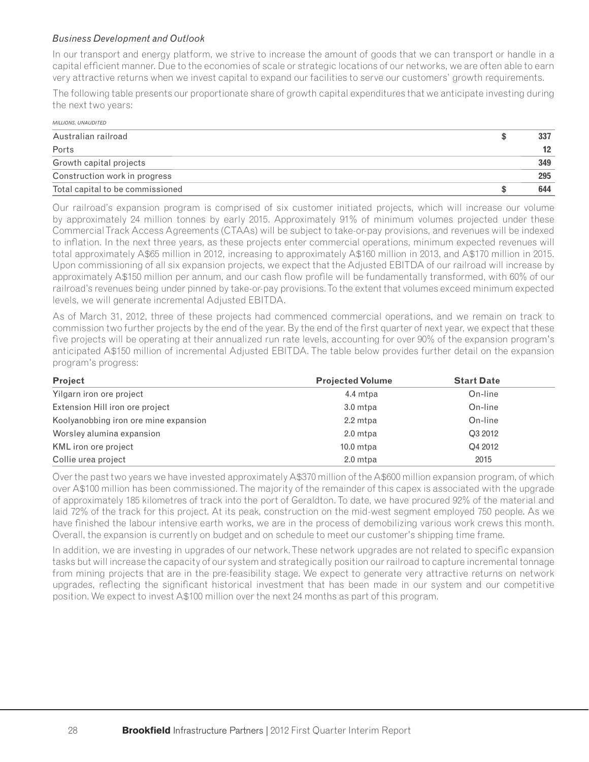#### *Business Development and Outlook*

In our transport and energy platform, we strive to increase the amount of goods that we can transport or handle in a capital efficient manner. Due to the economies of scale or strategic locations of our networks, we are often able to earn very attractive returns when we invest capital to expand our facilities to serve our customers' growth requirements.

The following table presents our proportionate share of growth capital expenditures that we anticipate investing during the next two years:

| <b>MILLIONS, UNAUDITED</b>       |     |
|----------------------------------|-----|
| Australian railroad              | 337 |
| Ports                            | 12  |
| Growth capital projects          | 349 |
| Construction work in progress    | 295 |
| Total capital to be commissioned | 644 |

Our railroad's expansion program is comprised of six customer initiated projects, which will increase our volume by approximately 24 million tonnes by early 2015. Approximately 91% of minimum volumes projected under these Commercial Track Access Agreements (CTAAs) will be subject to take-or-pay provisions, and revenues will be indexed to infl ation. In the next three years, as these projects enter commercial operations, minimum expected revenues will total approximately A\$65 million in 2012, increasing to approximately A\$160 million in 2013, and A\$170 million in 2015. Upon commissioning of all six expansion projects, we expect that the Adjusted EBITDA of our railroad will increase by approximately A\$150 million per annum, and our cash flow profile will be fundamentally transformed, with 60% of our railroad's revenues being under pinned by take-or-pay provisions. To the extent that volumes exceed minimum expected levels, we will generate incremental Adjusted EBITDA.

As of March 31, 2012, three of these projects had commenced commercial operations, and we remain on track to commission two further projects by the end of the year. By the end of the first quarter of next year, we expect that these five projects will be operating at their annualized run rate levels, accounting for over 90% of the expansion program's anticipated A\$150 million of incremental Adjusted EBITDA. The table below provides further detail on the expansion program's progress:

| Project                               | <b>Projected Volume</b> | <b>Start Date</b> |  |
|---------------------------------------|-------------------------|-------------------|--|
| Yilgarn iron ore project              | 4.4 mtpa                | On-line           |  |
| Extension Hill iron ore project       | 3.0 mtpa                | On-line           |  |
| Koolyanobbing iron ore mine expansion | 2.2 mtpa                | On-line           |  |
| Worsley alumina expansion             | 2.0 mtpa                | Q3 2012           |  |
| KML iron ore project                  | $10.0$ mtpa             | Q4 2012           |  |
| Collie urea project                   | 2.0 mtpa                | 2015              |  |

Over the past two years we have invested approximately A\$370 million of the A\$600 million expansion program, of which over A\$100 million has been commissioned. The majority of the remainder of this capex is associated with the upgrade of approximately 185 kilometres of track into the port of Geraldton. To date, we have procured 92% of the material and laid 72% of the track for this project. At its peak, construction on the mid-west segment employed 750 people. As we have finished the labour intensive earth works, we are in the process of demobilizing various work crews this month. Overall, the expansion is currently on budget and on schedule to meet our customer's shipping time frame.

In addition, we are investing in upgrades of our network. These network upgrades are not related to specific expansion tasks but will increase the capacity of our system and strategically position our railroad to capture incremental tonnage from mining projects that are in the pre-feasibility stage. We expect to generate very attractive returns on network upgrades, reflecting the significant historical investment that has been made in our system and our competitive position. We expect to invest A\$100 million over the next 24 months as part of this program.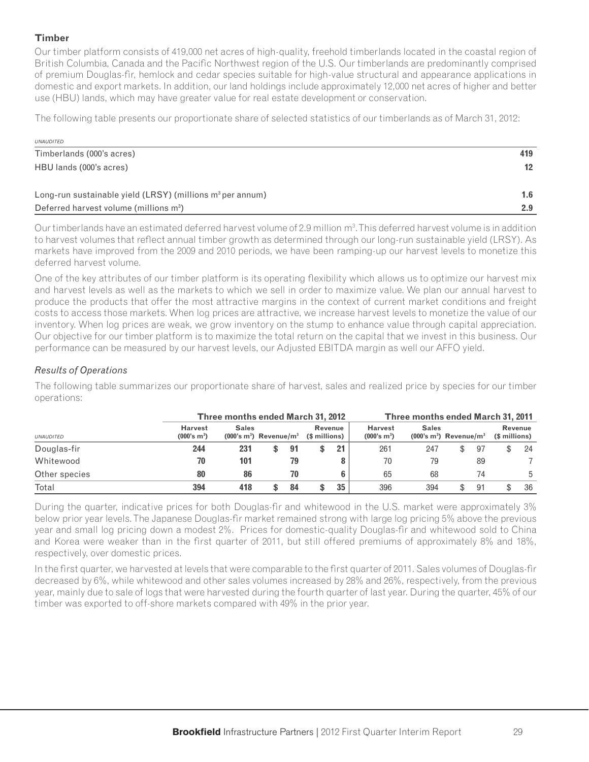## **Timber**

Our timber platform consists of 419,000 net acres of high-quality, freehold timberlands located in the coastal region of British Columbia, Canada and the Pacific Northwest region of the U.S. Our timberlands are predominantly comprised of premium Douglas-fir, hemlock and cedar species suitable for high-value structural and appearance applications in domestic and export markets. In addition, our land holdings include approximately 12,000 net acres of higher and better use (HBU) lands, which may have greater value for real estate development or conservation.

The following table presents our proportionate share of selected statistics of our timberlands as of March 31, 2012:

| <b>UNAUDITED</b>                                              |                  |
|---------------------------------------------------------------|------------------|
| Timberlands (000's acres)                                     | 419              |
| HBU lands (000's acres)                                       | 12 <sup>12</sup> |
| Long-run sustainable yield $(LRSY)$ (millions $m3$ per annum) | 1.6              |
| Deferred harvest volume (millions m <sup>3</sup> )            | 2.9              |

Our timberlands have an estimated deferred harvest volume of 2.9 million m<sup>3</sup>. This deferred harvest volume is in addition to harvest volumes that reflect annual timber growth as determined through our long-run sustainable yield (LRSY). As markets have improved from the 2009 and 2010 periods, we have been ramping-up our harvest levels to monetize this deferred harvest volume.

One of the key attributes of our timber platform is its operating flexibility which allows us to optimize our harvest mix and harvest levels as well as the markets to which we sell in order to maximize value. We plan our annual harvest to produce the products that offer the most attractive margins in the context of current market conditions and freight costs to access those markets. When log prices are attractive, we increase harvest levels to monetize the value of our inventory. When log prices are weak, we grow inventory on the stump to enhance value through capital appreciation. Our objective for our timber platform is to maximize the total return on the capital that we invest in this business. Our performance can be measured by our harvest levels, our Adjusted EBITDA margin as well our AFFO yield.

# *Results of Operations*

The following table summarizes our proportionate share of harvest, sales and realized price by species for our timber operations:

|                  |                                           | Three months ended March 31, 2012 |                                                                 |    |                                           | Three months ended March 31, 2011                   |     |     |                                 |    |  |    |  |
|------------------|-------------------------------------------|-----------------------------------|-----------------------------------------------------------------|----|-------------------------------------------|-----------------------------------------------------|-----|-----|---------------------------------|----|--|----|--|
| <b>UNAUDITED</b> | <b>Harvest</b><br>(000's m <sup>3</sup> ) | <b>Sales</b>                      | Revenue<br>$(000's m3)$ Revenue/m <sup>3</sup><br>(\$ millions) |    | <b>Harvest</b><br>(000's m <sup>3</sup> ) | <b>Sales</b><br>$(000's m3)$ Revenue/m <sup>3</sup> |     |     | <b>Revenue</b><br>(\$ millions) |    |  |    |  |
| Douglas-fir      | 244                                       | 231                               |                                                                 | 91 |                                           | 21                                                  | 261 | 247 |                                 | 97 |  | 24 |  |
| Whitewood        | 70                                        | 101                               |                                                                 | 79 |                                           |                                                     | 70  | 79  |                                 | 89 |  |    |  |
| Other species    | 80                                        | 86                                |                                                                 | 70 |                                           | 6                                                   | 65  | 68  |                                 | 74 |  | 5  |  |
| Total            | 394                                       | 418                               | S                                                               | 84 |                                           | 35                                                  | 396 | 394 |                                 | 91 |  | 36 |  |

During the quarter, indicative prices for both Douglas-fir and whitewood in the U.S. market were approximately 3% below prior year levels. The Japanese Douglas-fir market remained strong with large log pricing 5% above the previous year and small log pricing down a modest 2%. Prices for domestic-quality Douglas-fir and whitewood sold to China and Korea were weaker than in the first quarter of 2011, but still offered premiums of approximately 8% and 18%, respectively, over domestic prices.

In the first quarter, we harvested at levels that were comparable to the first quarter of 2011. Sales volumes of Douglas-fir decreased by 6%, while whitewood and other sales volumes increased by 28% and 26%, respectively, from the previous year, mainly due to sale of logs that were harvested during the fourth quarter of last year. During the quarter, 45% of our timber was exported to off-shore markets compared with 49% in the prior year.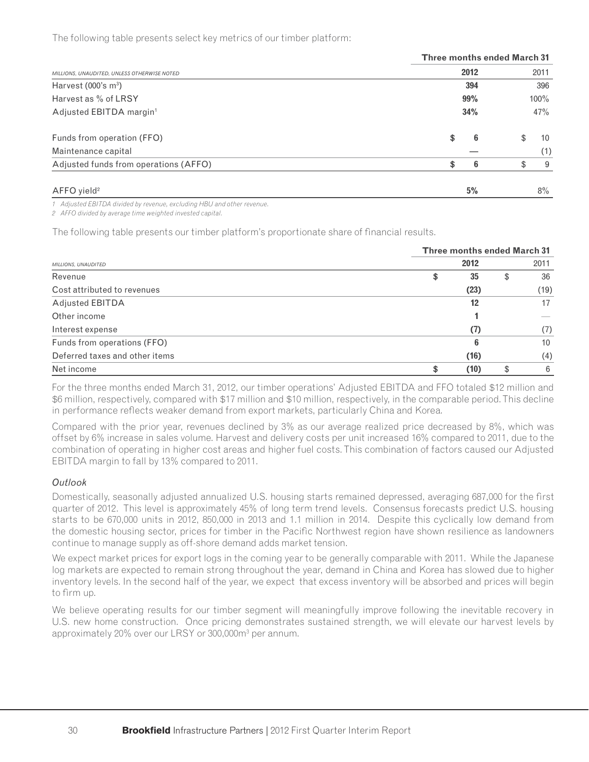The following table presents select key metrics of our timber platform:

|                                             |      | <b>Three months ended March 31</b> |         |       |  |  |  |  |
|---------------------------------------------|------|------------------------------------|---------|-------|--|--|--|--|
| MILLIONS, UNAUDITED, UNLESS OTHERWISE NOTED | 2012 |                                    |         | 2011  |  |  |  |  |
| Harvest $(000's m3)$                        | 394  |                                    |         | 396   |  |  |  |  |
| Harvest as % of LRSY                        | 99%  |                                    | $100\%$ |       |  |  |  |  |
| Adjusted EBITDA margin <sup>1</sup>         | 34%  |                                    |         | 47%   |  |  |  |  |
| Funds from operation (FFO)                  | \$   | 6                                  | \$      | 10    |  |  |  |  |
| Maintenance capital                         |      |                                    |         | (1)   |  |  |  |  |
| Adjusted funds from operations (AFFO)       | \$   | 6                                  | \$      | 9     |  |  |  |  |
| $AFFO$ yield <sup>2</sup>                   |      | 5%                                 |         | $8\%$ |  |  |  |  |

*1 Adjusted EBITDA divided by revenue, excluding HBU and other revenue.*

*2 AFFO divided by average time weighted invested capital.*

The following table presents our timber platform's proportionate share of financial results.

|                                | <b>Three months ended March 31</b> |          |  |  |  |  |  |  |  |
|--------------------------------|------------------------------------|----------|--|--|--|--|--|--|--|
| MILLIONS, UNAUDITED            | 2012                               | 2011     |  |  |  |  |  |  |  |
| Revenue                        | 35<br>\$                           | 36<br>\$ |  |  |  |  |  |  |  |
| Cost attributed to revenues    | (23)                               | (19)     |  |  |  |  |  |  |  |
| <b>Adjusted EBITDA</b>         | 12                                 | 17       |  |  |  |  |  |  |  |
| Other income                   |                                    |          |  |  |  |  |  |  |  |
| Interest expense               | (7)                                | (7)      |  |  |  |  |  |  |  |
| Funds from operations (FFO)    |                                    | 10       |  |  |  |  |  |  |  |
| Deferred taxes and other items | (16)                               | (4)      |  |  |  |  |  |  |  |
| Net income                     | (10)                               | 6<br>\$  |  |  |  |  |  |  |  |

For the three months ended March 31, 2012, our timber operations' Adjusted EBITDA and FFO totaled \$12 million and \$6 million, respectively, compared with \$17 million and \$10 million, respectively, in the comparable period. This decline in performance reflects weaker demand from export markets, particularly China and Korea.

Compared with the prior year, revenues declined by 3% as our average realized price decreased by 8%, which was offset by 6% increase in sales volume. Harvest and delivery costs per unit increased 16% compared to 2011, due to the combination of operating in higher cost areas and higher fuel costs. This combination of factors caused our Adjusted EBITDA margin to fall by 13% compared to 2011.

#### *Outlook*

Domestically, seasonally adjusted annualized U.S. housing starts remained depressed, averaging 687,000 for the first quarter of 2012. This level is approximately 45% of long term trend levels. Consensus forecasts predict U.S. housing starts to be 670,000 units in 2012, 850,000 in 2013 and 1.1 million in 2014. Despite this cyclically low demand from the domestic housing sector, prices for timber in the Pacific Northwest region have shown resilience as landowners continue to manage supply as off-shore demand adds market tension.

We expect market prices for export logs in the coming year to be generally comparable with 2011. While the Japanese log markets are expected to remain strong throughout the year, demand in China and Korea has slowed due to higher inventory levels. In the second half of the year, we expect that excess inventory will be absorbed and prices will begin to firm up.

We believe operating results for our timber segment will meaningfully improve following the inevitable recovery in U.S. new home construction. Once pricing demonstrates sustained strength, we will elevate our harvest levels by approximately 20% over our LRSY or 300,000m3 per annum.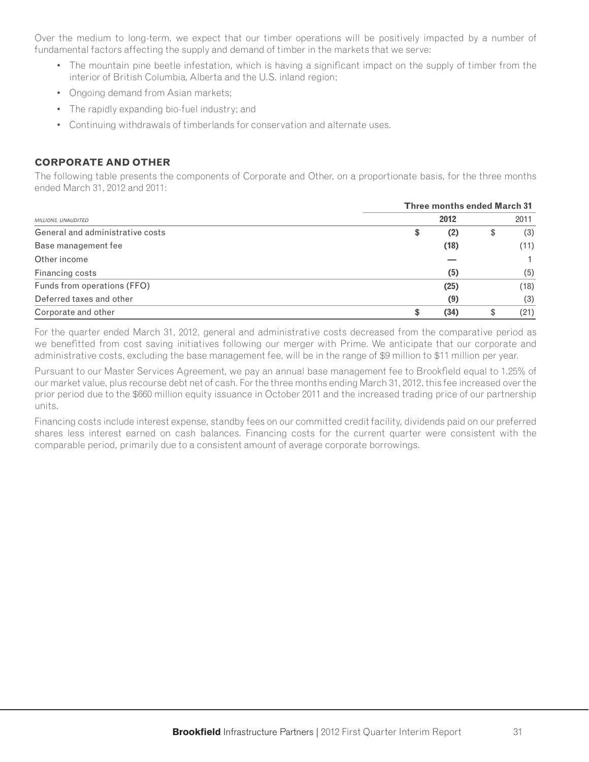Over the medium to long-term, we expect that our timber operations will be positively impacted by a number of fundamental factors affecting the supply and demand of timber in the markets that we serve:

- The mountain pine beetle infestation, which is having a significant impact on the supply of timber from the interior of British Columbia, Alberta and the U.S. inland region;
- Ongoing demand from Asian markets;
- The rapidly expanding bio-fuel industry; and
- Continuing withdrawals of timberlands for conservation and alternate uses.

#### **CORPORATE AND OTHER**

The following table presents the components of Corporate and Other, on a proportionate basis, for the three months ended March 31, 2012 and 2011:

|                                  | <b>Three months ended March 31</b> |           |  |  |  |  |  |  |  |
|----------------------------------|------------------------------------|-----------|--|--|--|--|--|--|--|
| MILLIONS, UNAUDITED              | 2012                               | 2011      |  |  |  |  |  |  |  |
| General and administrative costs | (2)<br>\$                          | (3)<br>\$ |  |  |  |  |  |  |  |
| Base management fee              | (18)                               | (11)      |  |  |  |  |  |  |  |
| Other income                     |                                    |           |  |  |  |  |  |  |  |
| Financing costs                  | (5)                                | (5)       |  |  |  |  |  |  |  |
| Funds from operations (FFO)      | (25)                               | (18)      |  |  |  |  |  |  |  |
| Deferred taxes and other         | (9)                                | (3)       |  |  |  |  |  |  |  |
| Corporate and other              | (34)                               | (21)<br>S |  |  |  |  |  |  |  |

For the quarter ended March 31, 2012, general and administrative costs decreased from the comparative period as we benefitted from cost saving initiatives following our merger with Prime. We anticipate that our corporate and administrative costs, excluding the base management fee, will be in the range of \$9 million to \$11 million per year.

Pursuant to our Master Services Agreement, we pay an annual base management fee to Brookfield equal to 1.25% of our market value, plus recourse debt net of cash. For the three months ending March 31, 2012, this fee increased over the prior period due to the \$660 million equity issuance in October 2011 and the increased trading price of our partnership units.

Financing costs include interest expense, standby fees on our committed credit facility, dividends paid on our preferred shares less interest earned on cash balances. Financing costs for the current quarter were consistent with the comparable period, primarily due to a consistent amount of average corporate borrowings.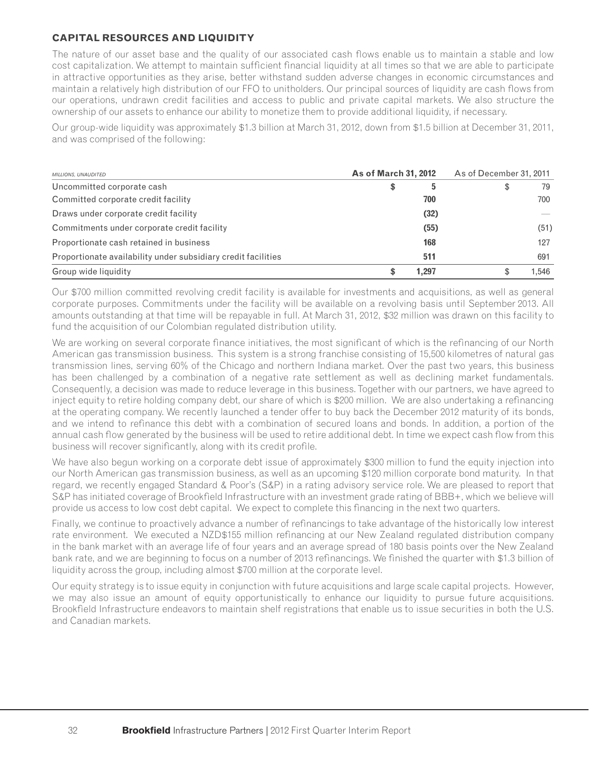### **CAPITAL RESOURCES AND LIQUIDITY**

The nature of our asset base and the quality of our associated cash flows enable us to maintain a stable and low cost capitalization. We attempt to maintain sufficient financial liquidity at all times so that we are able to participate in attractive opportunities as they arise, better withstand sudden adverse changes in economic circumstances and maintain a relatively high distribution of our FFO to unitholders. Our principal sources of liquidity are cash flows from our operations, undrawn credit facilities and access to public and private capital markets. We also structure the ownership of our assets to enhance our ability to monetize them to provide additional liquidity, if necessary.

Our group-wide liquidity was approximately \$1.3 billion at March 31, 2012, down from \$1.5 billion at December 31, 2011, and was comprised of the following:

| MILLIONS, UNAUDITED                                           | <b>As of March 31, 2012</b> |       | As of December 31, 2011 |       |  |  |
|---------------------------------------------------------------|-----------------------------|-------|-------------------------|-------|--|--|
| Uncommitted corporate cash                                    | \$                          | 5     | \$                      | 79    |  |  |
| Committed corporate credit facility                           |                             | 700   |                         | 700   |  |  |
| Draws under corporate credit facility                         |                             | (32)  |                         |       |  |  |
| Commitments under corporate credit facility                   |                             | (55)  |                         | (51)  |  |  |
| Proportionate cash retained in business                       |                             | 168   |                         | 127   |  |  |
| Proportionate availability under subsidiary credit facilities |                             | 511   |                         | 691   |  |  |
| Group wide liquidity                                          |                             | 1.297 |                         | 1.546 |  |  |

Our \$700 million committed revolving credit facility is available for investments and acquisitions, as well as general corporate purposes. Commitments under the facility will be available on a revolving basis until September 2013. All amounts outstanding at that time will be repayable in full. At March 31, 2012, \$32 million was drawn on this facility to fund the acquisition of our Colombian regulated distribution utility.

We are working on several corporate finance initiatives, the most significant of which is the refinancing of our North American gas transmission business. This system is a strong franchise consisting of 15,500 kilometres of natural gas transmission lines, serving 60% of the Chicago and northern Indiana market. Over the past two years, this business has been challenged by a combination of a negative rate settlement as well as declining market fundamentals. Consequently, a decision was made to reduce leverage in this business. Together with our partners, we have agreed to inject equity to retire holding company debt, our share of which is \$200 million. We are also undertaking a refinancing at the operating company. We recently launched a tender offer to buy back the December 2012 maturity of its bonds, and we intend to refinance this debt with a combination of secured loans and bonds. In addition, a portion of the annual cash flow generated by the business will be used to retire additional debt. In time we expect cash flow from this business will recover significantly, along with its credit profile.

We have also begun working on a corporate debt issue of approximately \$300 million to fund the equity injection into our North American gas transmission business, as well as an upcoming \$120 million corporate bond maturity. In that regard, we recently engaged Standard & Poor's (S&P) in a rating advisory service role. We are pleased to report that S&P has initiated coverage of Brookfield Infrastructure with an investment grade rating of BBB+, which we believe will provide us access to low cost debt capital. We expect to complete this financing in the next two quarters.

Finally, we continue to proactively advance a number of refinancings to take advantage of the historically low interest rate environment. We executed a NZD\$155 million refinancing at our New Zealand regulated distribution company in the bank market with an average life of four years and an average spread of 180 basis points over the New Zealand bank rate, and we are beginning to focus on a number of 2013 refinancings. We finished the quarter with \$1.3 billion of liquidity across the group, including almost \$700 million at the corporate level.

Our equity strategy is to issue equity in conjunction with future acquisitions and large scale capital projects. However, we may also issue an amount of equity opportunistically to enhance our liquidity to pursue future acquisitions. Brookfield Infrastructure endeavors to maintain shelf registrations that enable us to issue securities in both the U.S. and Canadian markets.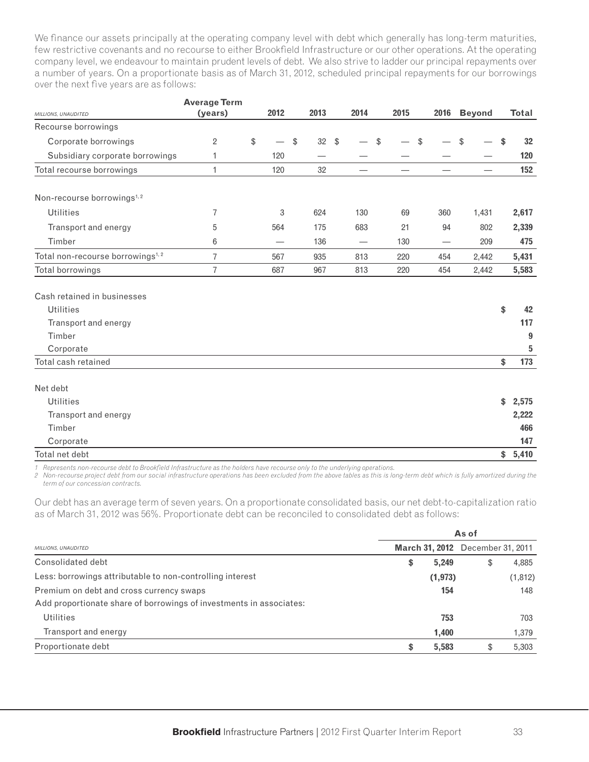We finance our assets principally at the operating company level with debt which generally has long-term maturities, few restrictive covenants and no recourse to either Brookfield Infrastructure or our other operations. At the operating company level, we endeavour to maintain prudent levels of debt. We also strive to ladder our principal repayments over a number of years. On a proportionate basis as of March 31, 2012, scheduled principal repayments for our borrowings over the next five years are as follows:

| MILLIONS, UNAUDITED                          | <b>Average Term</b><br>(years) | 2012 | 2013     |               | 2014 | 2015 |               | 2016 | <b>Beyond</b> | <b>Total</b> |
|----------------------------------------------|--------------------------------|------|----------|---------------|------|------|---------------|------|---------------|--------------|
| Recourse borrowings                          |                                |      |          |               |      |      |               |      |               |              |
| Corporate borrowings                         | 2                              | \$   | \$<br>32 | $\sqrt[6]{2}$ |      | \$   | $\frac{1}{2}$ |      | \$            | \$<br>32     |
| Subsidiary corporate borrowings              | 1                              | 120  |          |               |      |      |               |      |               | 120          |
| Total recourse borrowings                    | $\mathbf{1}$                   | 120  | 32       |               |      |      |               |      |               | 152          |
| Non-recourse borrowings <sup>1,2</sup>       |                                |      |          |               |      |      |               |      |               |              |
| <b>Utilities</b>                             | 7                              | 3    | 624      |               | 130  | 69   |               | 360  | 1,431         | 2,617        |
| Transport and energy                         | 5                              | 564  | 175      |               | 683  | 21   |               | 94   | 802           | 2,339        |
| Timber                                       | 6                              |      | 136      |               |      | 130  |               | —    | 209           | 475          |
| Total non-recourse borrowings <sup>1,2</sup> | 7                              | 567  | 935      |               | 813  | 220  |               | 454  | 2,442         | 5,431        |
| Total borrowings                             | 7                              | 687  | 967      |               | 813  | 220  |               | 454  | 2,442         | 5,583        |
| Cash retained in businesses                  |                                |      |          |               |      |      |               |      |               |              |
| <b>Utilities</b>                             |                                |      |          |               |      |      |               |      |               | \$<br>42     |
| Transport and energy                         |                                |      |          |               |      |      |               |      |               | 117          |
| Timber                                       |                                |      |          |               |      |      |               |      |               | 9            |
| Corporate                                    |                                |      |          |               |      |      |               |      |               | 5            |
| Total cash retained                          |                                |      |          |               |      |      |               |      |               | \$<br>173    |
| Net debt                                     |                                |      |          |               |      |      |               |      |               |              |
| <b>Utilities</b>                             |                                |      |          |               |      |      |               |      |               | \$<br>2,575  |
| Transport and energy                         |                                |      |          |               |      |      |               |      |               | 2,222        |
| Timber                                       |                                |      |          |               |      |      |               |      |               | 466          |

1 Represents non-recourse debt to Brookfield Infrastructure as the holders have recourse only to the underlying operations.

*2 Non-recourse project debt from our social infrastructure operations has been excluded from the above tables as this is long-term debt which is fully amortized during the term of our concession contracts.*

Corporate **147** Total net debt **\$ 5,410** 

Our debt has an average term of seven years. On a proportionate consolidated basis, our net debt-to-capitalization ratio as of March 31, 2012 was 56%. Proportionate debt can be reconciled to consolidated debt as follows:

|                                                                     | As of |          |                                         |          |  |  |  |  |  |
|---------------------------------------------------------------------|-------|----------|-----------------------------------------|----------|--|--|--|--|--|
| MILLIONS, UNAUDITED                                                 |       |          | <b>March 31, 2012</b> December 31, 2011 |          |  |  |  |  |  |
| Consolidated debt                                                   | \$    | 5,249    | \$                                      | 4,885    |  |  |  |  |  |
| Less: borrowings attributable to non-controlling interest           |       | (1, 973) |                                         | (1, 812) |  |  |  |  |  |
| Premium on debt and cross currency swaps                            |       | 154      |                                         | 148      |  |  |  |  |  |
| Add proportionate share of borrowings of investments in associates: |       |          |                                         |          |  |  |  |  |  |
| <b>Utilities</b>                                                    |       | 753      |                                         | 703      |  |  |  |  |  |
| Transport and energy                                                |       | 1,400    |                                         | 1,379    |  |  |  |  |  |
| Proportionate debt                                                  | S     | 5,583    | S                                       | 5,303    |  |  |  |  |  |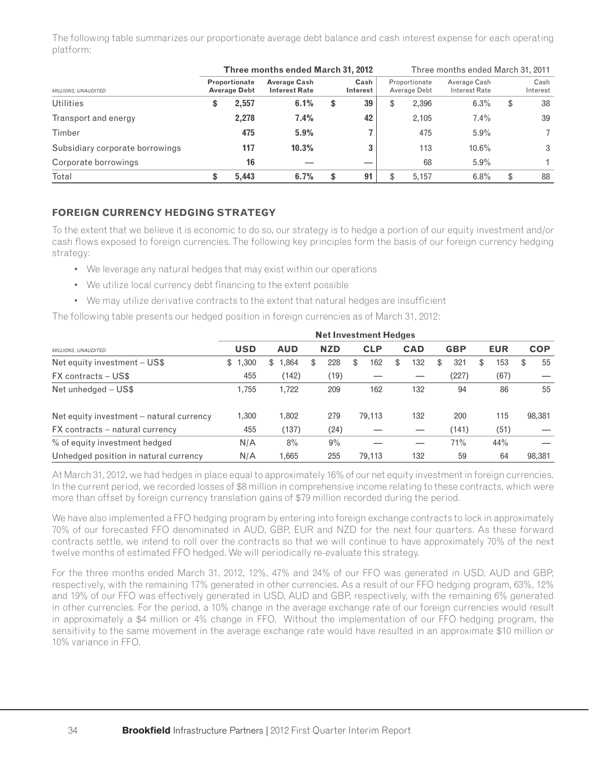The following table summarizes our proportionate average debt balance and cash interest expense for each operating platform:

|                                 |                                             | Three months ended March 31, 2012           |                  |    | Three months ended March 31, 2011 |                               |                               |    |                  |  |  |
|---------------------------------|---------------------------------------------|---------------------------------------------|------------------|----|-----------------------------------|-------------------------------|-------------------------------|----|------------------|--|--|
| <b>MILLIONS, UNAUDITED</b>      | <b>Proportionate</b><br><b>Average Debt</b> | <b>Average Cash</b><br><b>Interest Rate</b> | Cash<br>Interest |    |                                   | Proportionate<br>Average Debt | Average Cash<br>Interest Rate |    | Cash<br>Interest |  |  |
| <b>Utilities</b>                | \$<br>2,557                                 | 6.1%                                        | \$               | 39 | \$                                | 2,396                         | 6.3%                          | \$ | 38               |  |  |
| Transport and energy            | 2.278                                       | 7.4%                                        |                  | 42 |                                   | 2.105                         | 7.4%                          |    | 39               |  |  |
| Timber                          | 475                                         | 5.9%                                        |                  |    |                                   | 475                           | 5.9%                          |    |                  |  |  |
| Subsidiary corporate borrowings | 117                                         | 10.3%                                       |                  | 3  |                                   | 113                           | $10.6\%$                      |    | 3                |  |  |
| Corporate borrowings            | 16                                          |                                             |                  |    |                                   | 68                            | 5.9%                          |    |                  |  |  |
| Total                           | \$<br>5.443                                 | 6.7%                                        | \$               | 91 | \$                                | 5.157                         | 6.8%                          | \$ | 88               |  |  |

# **FOREIGN CURRENCY HEDGING STRATEGY**

To the extent that we believe it is economic to do so, our strategy is to hedge a portion of our equity investment and/or cash flows exposed to foreign currencies. The following key principles form the basis of our foreign currency hedging strategy:

- We leverage any natural hedges that may exist within our operations
- We utilize local currency debt financing to the extent possible
- We may utilize derivative contracts to the extent that natural hedges are insufficient

The following table presents our hedged position in foreign currencies as of March 31, 2012:

|                                          | <b>Net Investment Hedges</b> |            |   |            |    |            |    |            |    |            |    |            |     |            |
|------------------------------------------|------------------------------|------------|---|------------|----|------------|----|------------|----|------------|----|------------|-----|------------|
| MILLIONS, UNAUDITED                      | <b>USD</b>                   | <b>AUD</b> |   | <b>NZD</b> |    | <b>CLP</b> |    | <b>CAD</b> |    | <b>GBP</b> |    | <b>EUR</b> |     | <b>COP</b> |
| Net equity investment - US\$             | 1,300<br>\$                  | .864<br>\$ | S | 228        | \$ | 162        | \$ | 132        | \$ | 321        | \$ | 153        | \$. | 55         |
| FX contracts – US\$                      | 455                          | (142)      |   | (19)       |    |            |    |            |    | (227)      |    | (67)       |     |            |
| Net unhedged - US\$                      | 1.755                        | 1.722      |   | 209        |    | 162        |    | 132        |    | 94         |    | 86         |     | 55         |
| Net equity investment – natural currency | 1,300                        | 1,802      |   | 279        |    | 79,113     |    | 132        |    | 200        |    | 115        |     | 98,381     |
| FX contracts – natural currency          | 455                          | (137)      |   | (24)       |    |            |    |            |    | (141)      |    | (51)       |     |            |
| % of equity investment hedged            | N/A                          | 8%         |   | 9%         |    |            |    |            |    | 71%        |    | 44%        |     |            |
| Unhedged position in natural currency    | N/A                          | 1.665      |   | 255        |    | 79.113     |    | 132        |    | 59         |    | 64         |     | 98,381     |

At March 31, 2012, we had hedges in place equal to approximately 16% of our net equity investment in foreign currencies. In the current period, we recorded losses of \$8 million in comprehensive income relating to these contracts, which were more than offset by foreign currency translation gains of \$79 million recorded during the period.

We have also implemented a FFO hedging program by entering into foreign exchange contracts to lock in approximately 70% of our forecasted FFO denominated in AUD, GBP, EUR and NZD for the next four quarters. As these forward contracts settle, we intend to roll over the contracts so that we will continue to have approximately 70% of the next twelve months of estimated FFO hedged. We will periodically re-evaluate this strategy.

For the three months ended March 31, 2012, 12%, 47% and 24% of our FFO was generated in USD, AUD and GBP, respectively, with the remaining 17% generated in other currencies. As a result of our FFO hedging program, 63%, 12% and 19% of our FFO was effectively generated in USD, AUD and GBP, respectively, with the remaining 6% generated in other currencies. For the period, a 10% change in the average exchange rate of our foreign currencies would result in approximately a \$4 million or 4% change in FFO. Without the implementation of our FFO hedging program, the sensitivity to the same movement in the average exchange rate would have resulted in an approximate \$10 million or 10% variance in FFO.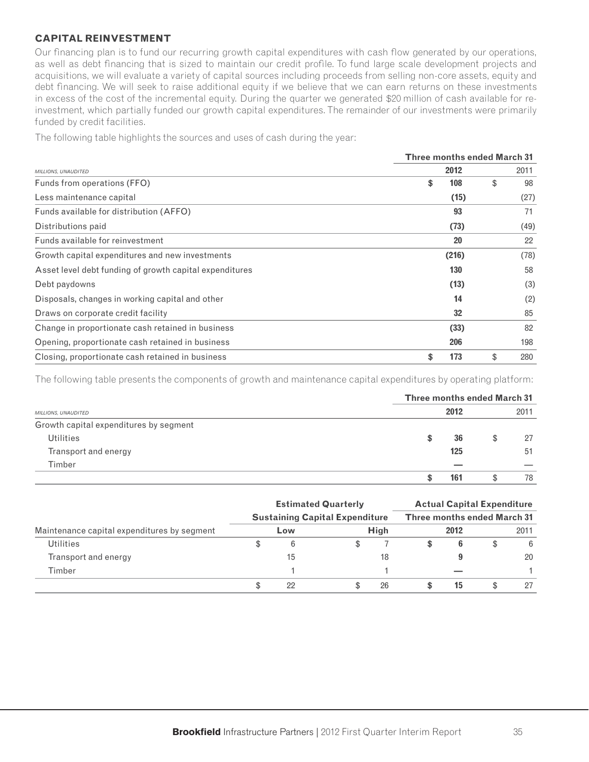### **CAPITAL REINVESTMENT**

Our financing plan is to fund our recurring growth capital expenditures with cash flow generated by our operations, as well as debt financing that is sized to maintain our credit profile. To fund large scale development projects and acquisitions, we will evaluate a variety of capital sources including proceeds from selling non-core assets, equity and debt financing. We will seek to raise additional equity if we believe that we can earn returns on these investments in excess of the cost of the incremental equity. During the quarter we generated \$20 million of cash available for reinvestment, which partially funded our growth capital expenditures. The remainder of our investments were primarily funded by credit facilities.

The following table highlights the sources and uses of cash during the year:

|                                                         |           | <b>Three months ended March 31</b> |      |  |  |  |
|---------------------------------------------------------|-----------|------------------------------------|------|--|--|--|
| MILLIONS, UNAUDITED                                     | 2012      |                                    | 2011 |  |  |  |
| Funds from operations (FFO)                             | 108<br>\$ | \$                                 | 98   |  |  |  |
| Less maintenance capital                                | (15)      |                                    | (27) |  |  |  |
| Funds available for distribution (AFFO)                 | 93        |                                    | 71   |  |  |  |
| Distributions paid                                      | (73)      |                                    | (49) |  |  |  |
| Funds available for reinvestment                        | 20        |                                    | 22   |  |  |  |
| Growth capital expenditures and new investments         | (216)     |                                    | (78) |  |  |  |
| Asset level debt funding of growth capital expenditures | 130       |                                    | 58   |  |  |  |
| Debt paydowns                                           | (13)      |                                    | (3)  |  |  |  |
| Disposals, changes in working capital and other         | 14        |                                    | (2)  |  |  |  |
| Draws on corporate credit facility                      | 32        |                                    | 85   |  |  |  |
| Change in proportionate cash retained in business       | (33)      |                                    | 82   |  |  |  |
| Opening, proportionate cash retained in business        | 206       |                                    | 198  |  |  |  |
| Closing, proportionate cash retained in business        | 173<br>\$ | \$                                 | 280  |  |  |  |

The following table presents the components of growth and maintenance capital expenditures by operating platform:

|                                        |   | <b>Three months ended March 31</b> |      |    |  |
|----------------------------------------|---|------------------------------------|------|----|--|
| MILLIONS, UNAUDITED                    |   | 2012                               | 2011 |    |  |
| Growth capital expenditures by segment |   |                                    |      |    |  |
| <b>Utilities</b>                       | ъ | 36                                 | S    | 27 |  |
| Transport and energy                   |   | 125                                |      | 51 |  |
| Timber                                 |   |                                    |      |    |  |
|                                        |   | 161                                |      | 78 |  |

|                                             | <b>Estimated Quarterly</b><br><b>Sustaining Capital Expenditure</b> |     |  |                                    | <b>Actual Capital Expenditure</b> |      |  |      |
|---------------------------------------------|---------------------------------------------------------------------|-----|--|------------------------------------|-----------------------------------|------|--|------|
|                                             |                                                                     |     |  | <b>Three months ended March 31</b> |                                   |      |  |      |
| Maintenance capital expenditures by segment |                                                                     | Low |  | <b>High</b>                        |                                   | 2012 |  | 2011 |
| <b>Utilities</b>                            |                                                                     | 6   |  |                                    |                                   |      |  | -6   |
| Transport and energy                        |                                                                     | 15  |  | 18                                 |                                   |      |  | 20   |
| Timber                                      |                                                                     |     |  |                                    |                                   |      |  |      |
|                                             |                                                                     | 22  |  | 26                                 |                                   | 15   |  | 27   |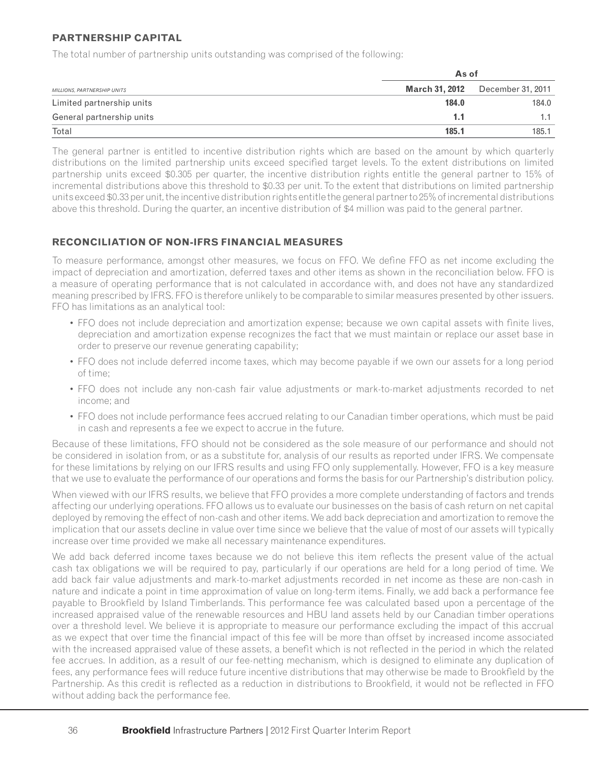## **PARTNERSHIP CAPITAL**

The total number of partnership units outstanding was comprised of the following:

| MILLIONS, PARTNERSHIP UNITS |                | As of             |  |  |
|-----------------------------|----------------|-------------------|--|--|
|                             | March 31, 2012 | December 31, 2011 |  |  |
| Limited partnership units   | 184.0          | 184.0             |  |  |
| General partnership units   | 1.1            | 1.1               |  |  |
| Total                       | 185.1          | 185.1             |  |  |

The general partner is entitled to incentive distribution rights which are based on the amount by which quarterly distributions on the limited partnership units exceed specified target levels. To the extent distributions on limited partnership units exceed \$0.305 per quarter, the incentive distribution rights entitle the general partner to 15% of incremental distributions above this threshold to \$0.33 per unit. To the extent that distributions on limited partnership units exceed \$0.33 per unit, the incentive distribution rights entitle the general partner to 25% of incremental distributions above this threshold. During the quarter, an incentive distribution of \$4 million was paid to the general partner.

## **RECONCILIATION OF NON-IFRS FINANCIAL MEASURES**

To measure performance, amongst other measures, we focus on FFO. We define FFO as net income excluding the impact of depreciation and amortization, deferred taxes and other items as shown in the reconciliation below. FFO is a measure of operating performance that is not calculated in accordance with, and does not have any standardized meaning prescribed by IFRS. FFO is therefore unlikely to be comparable to similar measures presented by other issuers. FFO has limitations as an analytical tool:

- FFO does not include depreciation and amortization expense; because we own capital assets with finite lives, depreciation and amortization expense recognizes the fact that we must maintain or replace our asset base in order to preserve our revenue generating capability;
- FFO does not include deferred income taxes, which may become payable if we own our assets for a long period of time;
- FFO does not include any non-cash fair value adjustments or mark-to-market adjustments recorded to net income; and
- FFO does not include performance fees accrued relating to our Canadian timber operations, which must be paid in cash and represents a fee we expect to accrue in the future.

Because of these limitations, FFO should not be considered as the sole measure of our performance and should not be considered in isolation from, or as a substitute for, analysis of our results as reported under IFRS. We compensate for these limitations by relying on our IFRS results and using FFO only supplementally. However, FFO is a key measure that we use to evaluate the performance of our operations and forms the basis for our Partnership's distribution policy.

When viewed with our IFRS results, we believe that FFO provides a more complete understanding of factors and trends affecting our underlying operations. FFO allows us to evaluate our businesses on the basis of cash return on net capital deployed by removing the effect of non-cash and other items. We add back depreciation and amortization to remove the implication that our assets decline in value over time since we believe that the value of most of our assets will typically increase over time provided we make all necessary maintenance expenditures.

We add back deferred income taxes because we do not believe this item reflects the present value of the actual cash tax obligations we will be required to pay, particularly if our operations are held for a long period of time. We add back fair value adjustments and mark-to-market adjustments recorded in net income as these are non-cash in nature and indicate a point in time approximation of value on long-term items. Finally, we add back a performance fee payable to Brookfield by Island Timberlands. This performance fee was calculated based upon a percentage of the increased appraised value of the renewable resources and HBU land assets held by our Canadian timber operations over a threshold level. We believe it is appropriate to measure our performance excluding the impact of this accrual as we expect that over time the financial impact of this fee will be more than offset by increased income associated with the increased appraised value of these assets, a benefit which is not reflected in the period in which the related fee accrues. In addition, as a result of our fee-netting mechanism, which is designed to eliminate any duplication of fees, any performance fees will reduce future incentive distributions that may otherwise be made to Brookfield by the Partnership. As this credit is reflected as a reduction in distributions to Brookfield, it would not be reflected in FFO without adding back the performance fee.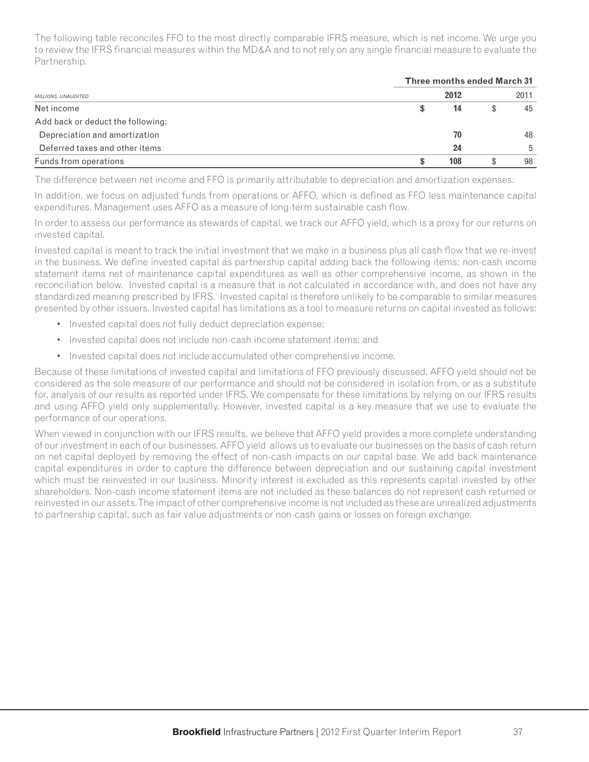The following table reconciles FFO to the most directly comparable IFRS measure, which is net income. We urge you to review the IFRS financial measures within the MD&A and to not rely on any single financial measure to evaluate the Partnership.

|                                   |         | <b>Three months ended March 31</b> |    |  |  |
|-----------------------------------|---------|------------------------------------|----|--|--|
| <b>MILLIONS, UNAUDITED</b>        | 2012    | 2011                               |    |  |  |
| Net income                        | S<br>14 |                                    | 45 |  |  |
| Add back or deduct the following: |         |                                    |    |  |  |
| Depreciation and amortization     | 70      |                                    | 48 |  |  |
| Deferred taxes and other items    | 24      |                                    | 5  |  |  |
| Funds from operations             | 108     | S                                  | 98 |  |  |

The difference between net income and FFO is primarily attributable to depreciation and amortization expenses.

In addition, we focus on adjusted funds from operations or AFFO, which is defined as FFO less maintenance capital expenditures. Management uses AFFO as a measure of long-term sustainable cash flow.

In order to assess our performance as stewards of capital, we track our AFFO yield, which is a proxy for our returns on invested capital.

Invested capital is meant to track the initial investment that we make in a business plus all cash flow that we re-invest in the business. We define invested capital as partnership capital adding back the following items: non-cash income statement items net of maintenance capital expenditures as well as other comprehensive income, as shown in the reconciliation below. Invested capital is a measure that is not calculated in accordance with, and does not have any standardized meaning prescribed by IFRS. Invested capital is therefore unlikely to be comparable to similar measures presented by other issuers. Invested capital has limitations as a tool to measure returns on capital invested as follows:

- Invested capital does not fully deduct depreciation expense;
- Invested capital does not include non-cash income statement items; and
- Invested capital does not include accumulated other comprehensive income.

Because of these limitations of invested capital and limitations of FFO previously discussed, AFFO yield should not be considered as the sole measure of our performance and should not be considered in isolation from, or as a substitute for, analysis of our results as reported under IFRS. We compensate for these limitations by relying on our IFRS results and using AFFO yield only supplementally. However, invested capital is a key measure that we use to evaluate the performance of our operations.

When viewed in conjunction with our IFRS results, we believe that AFFO yield provides a more complete understanding of our investment in each of our businesses. AFFO yield allows us to evaluate our businesses on the basis of cash return on net capital deployed by removing the effect of non-cash impacts on our capital base. We add back maintenance capital expenditures in order to capture the difference between depreciation and our sustaining capital investment which must be reinvested in our business. Minority interest is excluded as this represents capital invested by other shareholders. Non-cash income statement items are not included as these balances do not represent cash returned or reinvested in our assets. The impact of other comprehensive income is not included as these are unrealized adjustments to partnership capital, such as fair value adjustments or non-cash gains or losses on foreign exchange.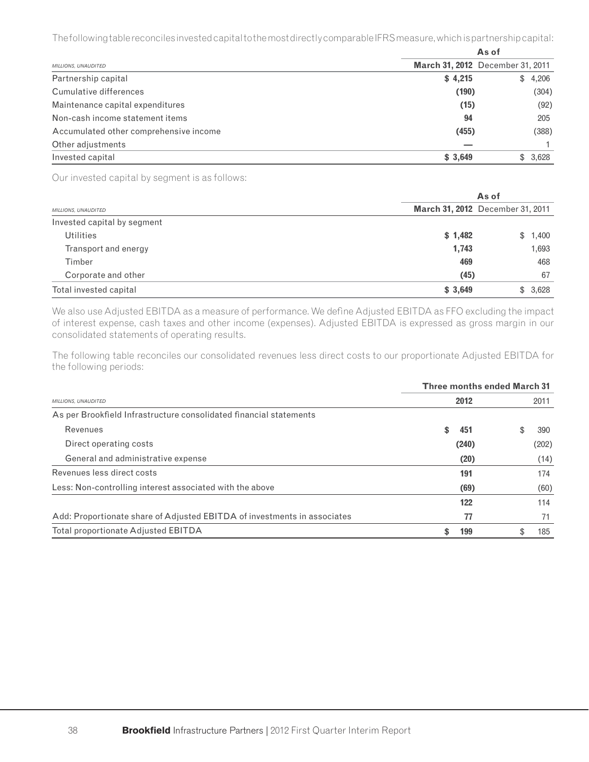The following table reconciles invested capital to the most directly comparable IFRS measure, which is partnership capital:

|                                        | As of                            |  |         |  |
|----------------------------------------|----------------------------------|--|---------|--|
| <b>MILLIONS, UNAUDITED</b>             | March 31, 2012 December 31, 2011 |  |         |  |
| Partnership capital                    | \$4,215                          |  | \$4,206 |  |
| Cumulative differences                 | (190)                            |  | (304)   |  |
| Maintenance capital expenditures       | (15)                             |  | (92)    |  |
| Non-cash income statement items        | 94                               |  | 205     |  |
| Accumulated other comprehensive income | (455)                            |  | (388)   |  |
| Other adjustments                      |                                  |  |         |  |
| Invested capital                       | \$3,649                          |  | \$3,628 |  |

Our invested capital by segment is as follows:

|                             |         | As of                            |  |  |  |  |
|-----------------------------|---------|----------------------------------|--|--|--|--|
| MILLIONS, UNAUDITED         |         | March 31, 2012 December 31, 2011 |  |  |  |  |
| Invested capital by segment |         |                                  |  |  |  |  |
| Utilities                   | \$1,482 | \$1,400                          |  |  |  |  |
| Transport and energy        | 1,743   | 1,693                            |  |  |  |  |
| Timber                      | 469     | 468                              |  |  |  |  |
| Corporate and other         | (45)    | 67                               |  |  |  |  |
| Total invested capital      | \$3,649 | \$3.628                          |  |  |  |  |

We also use Adjusted EBITDA as a measure of performance. We define Adjusted EBITDA as FFO excluding the impact of interest expense, cash taxes and other income (expenses). Adjusted EBITDA is expressed as gross margin in our consolidated statements of operating results.

The following table reconciles our consolidated revenues less direct costs to our proportionate Adjusted EBITDA for the following periods:

|                                                                          |    | <b>Three months ended March 31</b> |    |       |  |  |
|--------------------------------------------------------------------------|----|------------------------------------|----|-------|--|--|
| MILLIONS, UNAUDITED                                                      |    | 2012                               |    | 2011  |  |  |
| As per Brookfield Infrastructure consolidated financial statements       |    |                                    |    |       |  |  |
| Revenues                                                                 | \$ | 451                                | \$ | 390   |  |  |
| Direct operating costs                                                   |    | (240)                              |    | (202) |  |  |
| General and administrative expense                                       |    | (20)                               |    | (14)  |  |  |
| Revenues less direct costs                                               |    | 191                                |    | 174   |  |  |
| Less: Non-controlling interest associated with the above                 |    | (69)                               |    | (60)  |  |  |
|                                                                          |    | 122                                |    | 114   |  |  |
| Add: Proportionate share of Adjusted EBITDA of investments in associates |    | 77                                 |    | 71    |  |  |
| Total proportionate Adjusted EBITDA                                      | \$ | 199                                |    | 185   |  |  |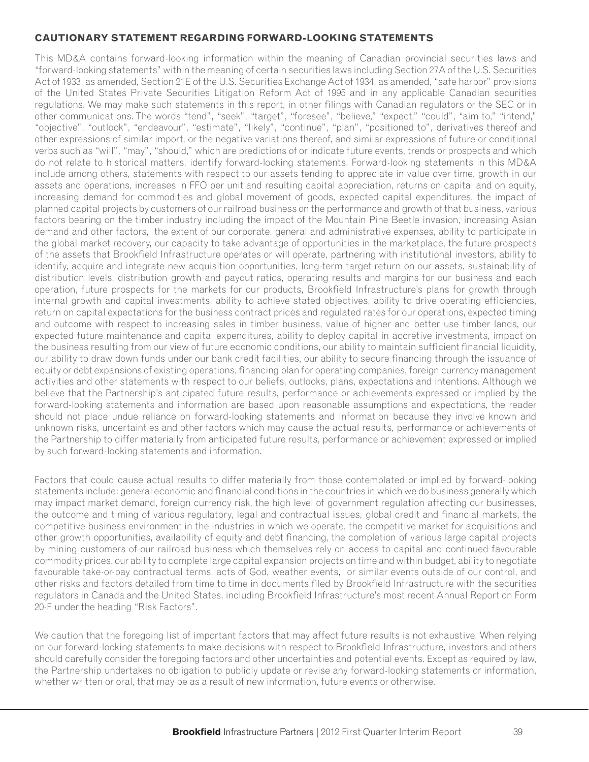## **CAUTIONARY STATEMENT REGARDING FORWARD-LOOKING STATEMENTS**

This MD&A contains forward-looking information within the meaning of Canadian provincial securities laws and "forward-looking statements" within the meaning of certain securities laws including Section 27A of the U.S. Securities Act of 1933, as amended, Section 21E of the U.S. Securities Exchange Act of 1934, as amended, "safe harbor" provisions of the United States Private Securities Litigation Reform Act of 1995 and in any applicable Canadian securities regulations. We may make such statements in this report, in other filings with Canadian regulators or the SEC or in other communications. The words "tend", "seek", "target", "foresee", "believe," "expect," "could", "aim to," "intend," "objective", "outlook", "endeavour", "estimate", "likely", "continue", "plan", "positioned to", derivatives thereof and other expressions of similar import, or the negative variations thereof, and similar expressions of future or conditional verbs such as "will", "may", "should," which are predictions of or indicate future events, trends or prospects and which do not relate to historical matters, identify forward-looking statements. Forward-looking statements in this MD&A include among others, statements with respect to our assets tending to appreciate in value over time, growth in our assets and operations, increases in FFO per unit and resulting capital appreciation, returns on capital and on equity, increasing demand for commodities and global movement of goods, expected capital expenditures, the impact of planned capital projects by customers of our railroad business on the performance and growth of that business, various factors bearing on the timber industry including the impact of the Mountain Pine Beetle invasion, increasing Asian demand and other factors, the extent of our corporate, general and administrative expenses, ability to participate in the global market recovery, our capacity to take advantage of opportunities in the marketplace, the future prospects of the assets that Brookfield Infrastructure operates or will operate, partnering with institutional investors, ability to identify, acquire and integrate new acquisition opportunities, long-term target return on our assets, sustainability of distribution levels, distribution growth and payout ratios, operating results and margins for our business and each operation, future prospects for the markets for our products, Brookfield Infrastructure's plans for growth through internal growth and capital investments, ability to achieve stated objectives, ability to drive operating efficiencies, return on capital expectations for the business contract prices and regulated rates for our operations, expected timing and outcome with respect to increasing sales in timber business, value of higher and better use timber lands, our expected future maintenance and capital expenditures, ability to deploy capital in accretive investments, impact on the business resulting from our view of future economic conditions, our ability to maintain sufficient financial liquidity, our ability to draw down funds under our bank credit facilities, our ability to secure financing through the issuance of equity or debt expansions of existing operations, financing plan for operating companies, foreign currency management activities and other statements with respect to our beliefs, outlooks, plans, expectations and intentions. Although we believe that the Partnership's anticipated future results, performance or achievements expressed or implied by the forward-looking statements and information are based upon reasonable assumptions and expectations, the reader should not place undue reliance on forward-looking statements and information because they involve known and unknown risks, uncertainties and other factors which may cause the actual results, performance or achievements of the Partnership to differ materially from anticipated future results, performance or achievement expressed or implied by such forward-looking statements and information.

Factors that could cause actual results to differ materially from those contemplated or implied by forward-looking statements include: general economic and financial conditions in the countries in which we do business generally which may impact market demand, foreign currency risk, the high level of government regulation affecting our businesses, the outcome and timing of various regulatory, legal and contractual issues, global credit and financial markets, the competitive business environment in the industries in which we operate, the competitive market for acquisitions and other growth opportunities, availability of equity and debt financing, the completion of various large capital projects by mining customers of our railroad business which themselves rely on access to capital and continued favourable commodity prices, our ability to complete large capital expansion projects on time and within budget, ability to negotiate favourable take-or-pay contractual terms, acts of God, weather events, or similar events outside of our control, and other risks and factors detailed from time to time in documents filed by Brookfield Infrastructure with the securities regulators in Canada and the United States, including Brookfield Infrastructure's most recent Annual Report on Form 20-F under the heading "Risk Factors".

We caution that the foregoing list of important factors that may affect future results is not exhaustive. When relying on our forward-looking statements to make decisions with respect to Brookfield Infrastructure, investors and others should carefully consider the foregoing factors and other uncertainties and potential events. Except as required by law, the Partnership undertakes no obligation to publicly update or revise any forward-looking statements or information, whether written or oral, that may be as a result of new information, future events or otherwise.